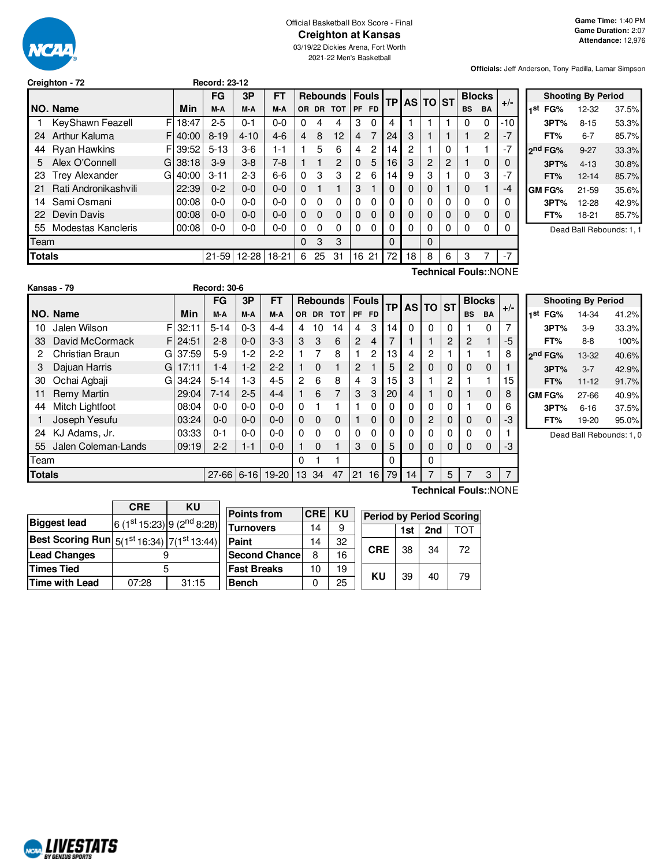

#### Official Basketball Box Score - Final **Creighton at Kansas**

03/19/22 Dickies Arena, Fort Worth 2021-22 Men's Basketball

**Officials:** Jeff Anderson, Tony Padilla, Lamar Simpson

| Creighton - 72 |  |  |
|----------------|--|--|
|                |  |  |

|               |                            |            | FG        | 3P        | FT      |          |          | <b>Rebounds</b> |                | <b>Fouls</b> | <b>TP</b> |    |                | <b>AS TO ST</b> |           | <b>Blocks</b> |       | $+/-$ |
|---------------|----------------------------|------------|-----------|-----------|---------|----------|----------|-----------------|----------------|--------------|-----------|----|----------------|-----------------|-----------|---------------|-------|-------|
|               | NO. Name                   | <b>Min</b> | M-A       | M-A       | M-A     | OR.      | DR.      | <b>TOT</b>      | PF             | <b>FD</b>    |           |    |                |                 | <b>BS</b> | <b>BA</b>     |       |       |
|               | F<br>KeyShawn Feazell      | 18:47      | $2 - 5$   | $0 - 1$   | $0 - 0$ | 0        | 4        | 4               | 3              | 0            | 4         |    |                |                 | 0         | 0             | $-10$ |       |
| 24            | <b>Arthur Kaluma</b><br>F  | 40:00      | $8 - 19$  | $4 - 10$  | $4-6$   | 4        | 8        | 12              | $\overline{4}$ |              | 24        | 3  |                |                 |           | 2             |       |       |
| 44            | <b>Ryan Hawkins</b><br>F   | 39:52      | $5 - 13$  | $3-6$     | 1-1     |          | 5        | 6               | 4              | 2            | 14        | 2  |                | 0               |           | 1             |       |       |
| 5             | Alex O'Connell<br>Gl       | 38:18      | $3-9$     | $3-8$     | 7-8     |          |          | 2               | $\Omega$       | 5            | 16        | 3  | $\overline{2}$ | 2               |           | 0             |       |       |
| 23            | <b>Trey Alexander</b><br>G | 40:00      | $3 - 11$  | $2 - 3$   | $6 - 6$ | 0        | 3        | 3               | 2              | 6            | 14        | 9  | 3              |                 | 0         | 3             | -7    |       |
| 21            | Rati Andronikashvili       | 22:39      | $0 - 2$   | $0 - 0$   | $0 - 0$ | 0        |          |                 | 3              |              | 0         | 0  | $\Omega$       |                 | 0         | 1             | -4    |       |
| 14            | Sami Osmani                | 00:08      | $0 - 0$   | $0 - 0$   | $0 - 0$ | 0        | 0        | $\Omega$        | 0              | 0            | 0         | 0  | 0              | 0               | 0         | 0             |       |       |
| 22            | Devin Davis                | 00:08      | $0 - 0$   | $0 - 0$   | $0 - 0$ | 0        | $\Omega$ | $\Omega$        | $\Omega$       | $\Omega$     | 0         | 0  | $\Omega$       | 0               | 0         | 0             |       |       |
| 55            | Modestas Kancleris         | 00:08      | $0-0$     | $0 - 0$   | $0 - 0$ | 0        | 0        | $\Omega$        | 0              | 0            | 0         | 0  | 0              | 0               | 0         | 0             |       |       |
| Team          |                            |            |           |           |         | $\Omega$ | 3        | 3               |                |              | 0         |    | $\Omega$       |                 |           |               |       |       |
| <b>Totals</b> |                            |            | $21 - 59$ | $12 - 28$ | $18-21$ | 6        | 25       | 31              | 16             | 21           | 72        | 18 | 8              | 6               | 3         | 7             | $-7$  |       |
|               |                            |            |           |           |         |          |          |                 |                |              |           |    |                |                 |           |               |       |       |

**Creighton - 72 Record: 23-12**

| <b>Shooting By Period</b> |                     |          |       |  |  |  |  |
|---------------------------|---------------------|----------|-------|--|--|--|--|
| 1st                       | FG%                 | 12-32    | 37.5% |  |  |  |  |
|                           | 3PT%                | $8 - 15$ | 53.3% |  |  |  |  |
|                           | FT%                 | $6 - 7$  | 85.7% |  |  |  |  |
|                           | 2 <sup>nd</sup> FG% | $9 - 27$ | 33.3% |  |  |  |  |
|                           | 3PT%                | $4 - 13$ | 30.8% |  |  |  |  |
|                           | FT%                 | 12-14    | 85.7% |  |  |  |  |
|                           | <b>GM FG%</b>       | 21-59    | 35.6% |  |  |  |  |
|                           | 3PT%                | 12-28    | 42.9% |  |  |  |  |
|                           | FT%                 | 18-21    | 85.7% |  |  |  |  |
|                           |                     | - 1      |       |  |  |  |  |

Dead Ball Rebounds: 1, 1

|               | Kansas - 79         |   |          | <b>Record: 30-6</b> |         |           |          |          |                 |          |              |    |           |                |                |                |               |       |
|---------------|---------------------|---|----------|---------------------|---------|-----------|----------|----------|-----------------|----------|--------------|----|-----------|----------------|----------------|----------------|---------------|-------|
|               |                     |   |          | <b>FG</b>           | 3P      | <b>FT</b> |          |          | <b>Rebounds</b> |          | <b>Fouls</b> | TP | <b>AS</b> | <b>TO</b>      | <b>ST</b>      |                | <b>Blocks</b> | $+/-$ |
|               | NO. Name            |   | Min      | M-A                 | M-A     | M-A       | OR.      | DR.      | <b>TOT</b>      | PF       | <b>FD</b>    |    |           |                |                | <b>BS</b>      | <b>BA</b>     |       |
| 10            | Jalen Wilson        | F | 32:11    | $5 - 14$            | $0 - 3$ | $4 - 4$   | 4        | 10       | 14              | 4        | 3            | 14 | $\Omega$  | $\Omega$       | 0              |                | $\Omega$      | 7     |
| 33            | David McCormack     |   | FI 24:51 | $2 - 8$             | $0 - 0$ | $3-3$     | 3        | 3        | 6               | 2        | 4            |    |           |                | $\overline{2}$ | $\overline{2}$ | 1             | -5    |
| 2             | Christian Braun     | G | 37:59    | 5-9                 | $1-2$   | $2-2$     |          | 7        | 8               |          | 2            | 13 | 4         | $\overline{c}$ |                |                |               | 8     |
| 3             | Dajuan Harris       | G | 17:11    | $1 - 4$             | $1-2$   | $2 - 2$   |          | $\Omega$ |                 | 2        |              | 5  | 2         | 0              | 0              | 0              | $\mathbf 0$   |       |
| 30            | Ochai Agbaji        | G | 34:24    | $5 - 14$            | $1-3$   | $4 - 5$   | 2        | 6        | 8               | 4        | 3            | 15 | 3         |                | 2              |                |               | 15    |
| 11            | Remy Martin         |   | 29:04    | $7 - 14$            | $2 - 5$ | $4 - 4$   |          | 6        | 7               | 3        | 3            | 20 | 4         |                | 0              |                | $\mathbf 0$   | 8     |
| 44            | Mitch Lightfoot     |   | 08:04    | $0 - 0$             | $0 - 0$ | $0 - 0$   | $\Omega$ |          |                 |          | $\Omega$     | 0  | 0         | 0              | 0              |                | 0             | 6     |
|               | Joseph Yesufu       |   | 03:24    | $0 - 0$             | $0 - 0$ | $0 - 0$   | $\Omega$ | $\Omega$ | $\Omega$        |          | $\Omega$     | 0  | 0         | $\overline{c}$ | 0              | 0              | 0             | -3    |
| 24            | KJ Adams, Jr.       |   | 03:33    | $0 - 1$             | $0 - 0$ | $0 - 0$   | $\Omega$ | $\Omega$ | $\Omega$        | $\Omega$ | $\Omega$     | 0  | 0         | 0              | 0              | 0              | 0             |       |
| 55            | Jalen Coleman-Lands |   | 09:19    | $2 - 2$             | $1 - 1$ | $0 - 0$   |          | $\Omega$ |                 | 3        | $\Omega$     | 5  | 0         | 0              | 0              | 0              | 0             | -3    |
| Team          |                     |   |          |                     |         |           | $\Omega$ |          |                 |          |              | 0  |           | $\Omega$       |                |                |               |       |
| <b>Totals</b> |                     |   |          | 27-66 6-16          |         | 19-20     | 13       | 34       | 47              | 21       | 16           | 79 | 14        |                | 5              |                | 3             | 7     |

|     | <b>Shooting By Period</b> |          |       |  |  |  |  |  |  |
|-----|---------------------------|----------|-------|--|--|--|--|--|--|
| 1st | FG%                       | 14-34    | 41.2% |  |  |  |  |  |  |
|     | 3PT%                      | $3-9$    | 33.3% |  |  |  |  |  |  |
|     | FT%                       | 8-8      | 100%  |  |  |  |  |  |  |
|     | 2 <sup>nd</sup> FG%       | 13-32    | 40.6% |  |  |  |  |  |  |
|     | 3PT%                      | $3 - 7$  | 42.9% |  |  |  |  |  |  |
|     | FT%                       | 11-12    | 91.7% |  |  |  |  |  |  |
|     | GM FG%                    | 27-66    | 40.9% |  |  |  |  |  |  |
|     | 3PT%                      | $6 - 16$ | 37.5% |  |  |  |  |  |  |
|     | FT%                       | 19-20    | 95.0% |  |  |  |  |  |  |

Dead Ball Rebounds: 1, 0

|                                                                                         | <b>CRE</b>                             | KU    |  | <b>Points from</b>   | <b>CRE</b> | KU |
|-----------------------------------------------------------------------------------------|----------------------------------------|-------|--|----------------------|------------|----|
| <b>Biggest lead</b>                                                                     | 6 (1st 15:23) 9 (2 <sup>nd</sup> 8:28) |       |  |                      |            |    |
|                                                                                         |                                        |       |  | <b>Turnovers</b>     | 14         | 9  |
| Best Scoring Run $\mid$ 5(1 <sup>st</sup> 16:34) $\mid$ 7(1 <sup>st</sup> 13:44) $\mid$ |                                        |       |  | Paint                | 14         | 32 |
| <b>Lead Changes</b>                                                                     |                                        |       |  | <b>Second Chance</b> | 8          | 16 |
| Times Tied                                                                              |                                        |       |  | <b>Fast Breaks</b>   | 10         | 19 |
| Time with Lead                                                                          | 07:28                                  | 31:15 |  | <b>Bench</b>         | 0          | 25 |

**Technical Fouls:**:NONE

**Period by Period Scoring 1st 2nd** TOT

**CRE** 38 34 72

**KU** 39 40 79

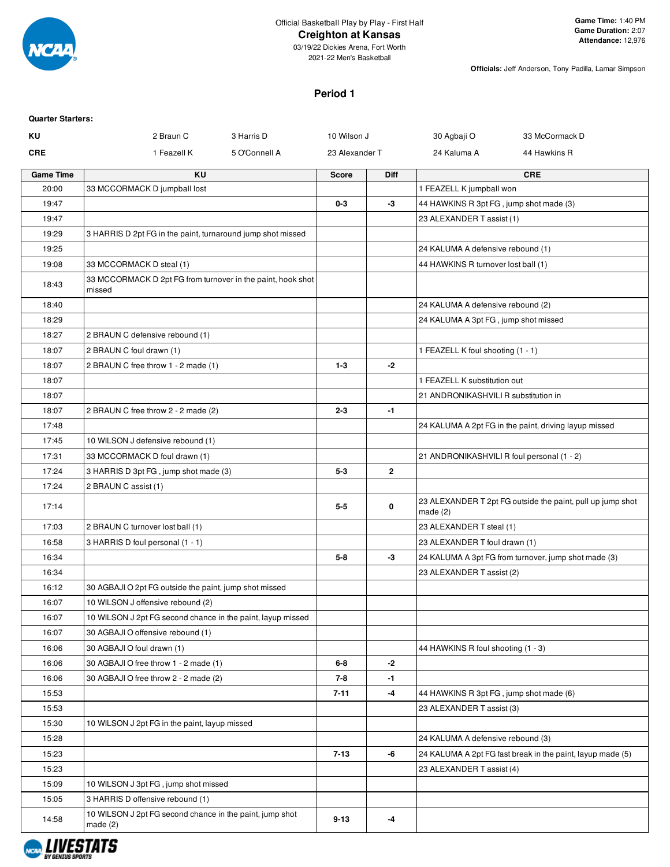

### **Creighton at Kansas**

03/19/22 Dickies Arena, Fort Worth 2021-22 Men's Basketball

**Officials:** Jeff Anderson, Tony Padilla, Lamar Simpson

### **Period 1**

| <b>Quarter Starters:</b> |                                                                       |               |                |                |                                            |                                                            |
|--------------------------|-----------------------------------------------------------------------|---------------|----------------|----------------|--------------------------------------------|------------------------------------------------------------|
| KU                       | 2 Braun C                                                             | 3 Harris D    | 10 Wilson J    |                | 30 Agbaji O                                | 33 McCormack D                                             |
| <b>CRE</b>               | 1 Feazell K                                                           | 5 O'Connell A | 23 Alexander T |                | 24 Kaluma A                                | 44 Hawkins R                                               |
| <b>Game Time</b>         | <b>KU</b>                                                             |               | <b>Score</b>   | <b>Diff</b>    |                                            | <b>CRE</b>                                                 |
| 20:00                    | 33 MCCORMACK D jumpball lost                                          |               |                |                | 1 FEAZELL K jumpball won                   |                                                            |
| 19:47                    |                                                                       |               | $0 - 3$        | -3             | 44 HAWKINS R 3pt FG, jump shot made (3)    |                                                            |
| 19:47                    |                                                                       |               |                |                | 23 ALEXANDER T assist (1)                  |                                                            |
| 19:29                    | 3 HARRIS D 2pt FG in the paint, turnaround jump shot missed           |               |                |                |                                            |                                                            |
| 19:25                    |                                                                       |               |                |                | 24 KALUMA A defensive rebound (1)          |                                                            |
| 19:08                    | 33 MCCORMACK D steal (1)                                              |               |                |                | 44 HAWKINS R turnover lost ball (1)        |                                                            |
| 18:43                    | 33 MCCORMACK D 2pt FG from turnover in the paint, hook shot<br>missed |               |                |                |                                            |                                                            |
| 18:40                    |                                                                       |               |                |                | 24 KALUMA A defensive rebound (2)          |                                                            |
| 18:29                    |                                                                       |               |                |                | 24 KALUMA A 3pt FG, jump shot missed       |                                                            |
| 18:27                    | 2 BRAUN C defensive rebound (1)                                       |               |                |                |                                            |                                                            |
| 18:07                    | 2 BRAUN C foul drawn (1)                                              |               |                |                | 1 FEAZELL K foul shooting (1 - 1)          |                                                            |
| 18:07                    | 2 BRAUN C free throw 1 - 2 made (1)                                   |               | $1 - 3$        | -2             |                                            |                                                            |
| 18:07                    |                                                                       |               |                |                | 1 FEAZELL K substitution out               |                                                            |
| 18:07                    |                                                                       |               |                |                | 21 ANDRONIKASHVILI R substitution in       |                                                            |
| 18:07                    | 2 BRAUN C free throw 2 - 2 made (2)                                   |               | $2 - 3$        | $-1$           |                                            |                                                            |
| 17:48                    |                                                                       |               |                |                |                                            | 24 KALUMA A 2pt FG in the paint, driving layup missed      |
| 17:45                    | 10 WILSON J defensive rebound (1)                                     |               |                |                |                                            |                                                            |
| 17:31                    | 33 MCCORMACK D foul drawn (1)                                         |               |                |                | 21 ANDRONIKASHVILI R foul personal (1 - 2) |                                                            |
| 17:24                    | 3 HARRIS D 3pt FG, jump shot made (3)                                 |               | $5 - 3$        | $\overline{2}$ |                                            |                                                            |
| 17:24                    | 2 BRAUN C assist (1)                                                  |               |                |                |                                            |                                                            |
| 17:14                    |                                                                       |               | $5 - 5$        | 0              | made $(2)$                                 | 23 ALEXANDER T 2pt FG outside the paint, pull up jump shot |
| 17:03                    | 2 BRAUN C turnover lost ball (1)                                      |               |                |                | 23 ALEXANDER T steal (1)                   |                                                            |
| 16:58                    | 3 HARRIS D foul personal (1 - 1)                                      |               |                |                | 23 ALEXANDER T foul drawn (1)              |                                                            |
| 16:34                    |                                                                       |               | $5 - 8$        | -3             |                                            | 24 KALUMA A 3pt FG from turnover, jump shot made (3)       |
| 16:34                    |                                                                       |               |                |                | 23 ALEXANDER T assist (2)                  |                                                            |
| 16:12                    | 30 AGBAJI O 2pt FG outside the paint, jump shot missed                |               |                |                |                                            |                                                            |
| 16:07                    | 10 WILSON J offensive rebound (2)                                     |               |                |                |                                            |                                                            |
| 16:07                    | 10 WILSON J 2pt FG second chance in the paint, layup missed           |               |                |                |                                            |                                                            |
| 16:07                    | 30 AGBAJI O offensive rebound (1)                                     |               |                |                |                                            |                                                            |
| 16:06                    | 30 AGBAJI O foul drawn (1)                                            |               |                |                | 44 HAWKINS R foul shooting (1 - 3)         |                                                            |
| 16:06                    | 30 AGBAJI O free throw 1 - 2 made (1)                                 |               | $6 - 8$        | $-2$           |                                            |                                                            |
| 16:06                    | 30 AGBAJI O free throw 2 - 2 made (2)                                 |               | 7-8            | $-1$           |                                            |                                                            |
| 15:53                    |                                                                       |               | $7 - 11$       | $-4$           | 44 HAWKINS R 3pt FG, jump shot made (6)    |                                                            |
| 15:53                    |                                                                       |               |                |                | 23 ALEXANDER T assist (3)                  |                                                            |
| 15:30                    | 10 WILSON J 2pt FG in the paint, layup missed                         |               |                |                |                                            |                                                            |
| 15:28                    |                                                                       |               |                |                | 24 KALUMA A defensive rebound (3)          |                                                            |
| 15:23                    |                                                                       |               | $7 - 13$       | -6             |                                            | 24 KALUMA A 2pt FG fast break in the paint, layup made (5) |
| 15:23                    |                                                                       |               |                |                | 23 ALEXANDER T assist (4)                  |                                                            |
| 15:09                    | 10 WILSON J 3pt FG, jump shot missed                                  |               |                |                |                                            |                                                            |
| 15:05                    | 3 HARRIS D offensive rebound (1)                                      |               |                |                |                                            |                                                            |
| 14:58                    | 10 WILSON J 2pt FG second chance in the paint, jump shot<br>made(2)   |               | $9 - 13$       | -4             |                                            |                                                            |

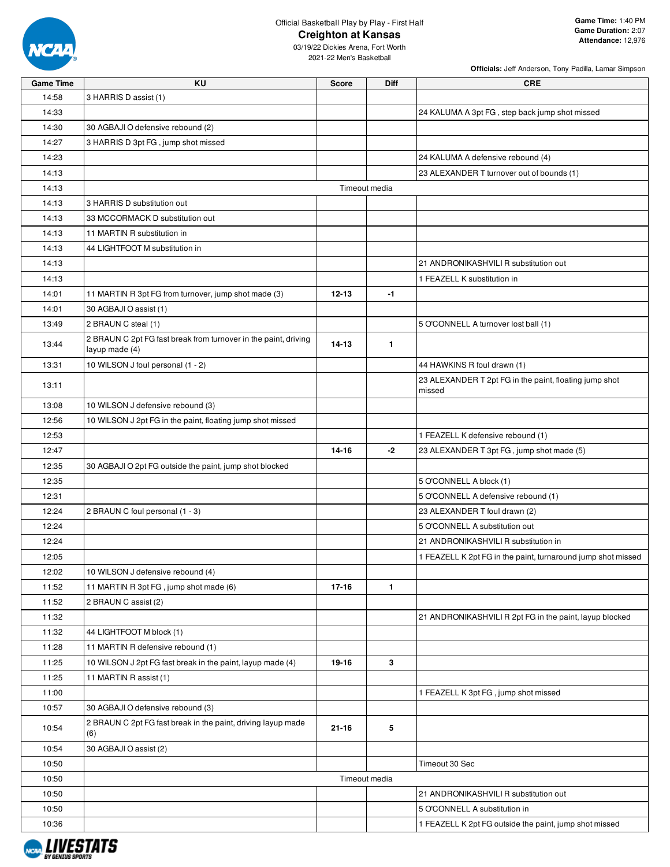

**Officials:** Jeff Anderson, Tony Padilla, Lamar Simpson

| <b>Game Time</b> | KU                                                                                | <b>Score</b>  | Diff         | <b>CRE</b>                                                   |
|------------------|-----------------------------------------------------------------------------------|---------------|--------------|--------------------------------------------------------------|
| 14:58            | 3 HARRIS D assist (1)                                                             |               |              |                                                              |
| 14:33            |                                                                                   |               |              | 24 KALUMA A 3pt FG, step back jump shot missed               |
| 14:30            | 30 AGBAJI O defensive rebound (2)                                                 |               |              |                                                              |
| 14:27            | 3 HARRIS D 3pt FG, jump shot missed                                               |               |              |                                                              |
| 14:23            |                                                                                   |               |              | 24 KALUMA A defensive rebound (4)                            |
| 14:13            |                                                                                   |               |              | 23 ALEXANDER T turnover out of bounds (1)                    |
| 14:13            |                                                                                   | Timeout media |              |                                                              |
| 14:13            | 3 HARRIS D substitution out                                                       |               |              |                                                              |
| 14:13            | 33 MCCORMACK D substitution out                                                   |               |              |                                                              |
| 14:13            | 11 MARTIN R substitution in                                                       |               |              |                                                              |
| 14:13            | 44 LIGHTFOOT M substitution in                                                    |               |              |                                                              |
| 14:13            |                                                                                   |               |              | 21 ANDRONIKASHVILI R substitution out                        |
| 14:13            |                                                                                   |               |              | 1 FEAZELL K substitution in                                  |
| 14:01            | 11 MARTIN R 3pt FG from turnover, jump shot made (3)                              | $12 - 13$     | $-1$         |                                                              |
| 14:01            | 30 AGBAJI O assist (1)                                                            |               |              |                                                              |
| 13:49            | 2 BRAUN C steal (1)                                                               |               |              | 5 O'CONNELL A turnover lost ball (1)                         |
| 13:44            | 2 BRAUN C 2pt FG fast break from turnover in the paint, driving<br>layup made (4) | $14 - 13$     | $\mathbf{1}$ |                                                              |
| 13:31            | 10 WILSON J foul personal (1 - 2)                                                 |               |              | 44 HAWKINS R foul drawn (1)                                  |
|                  |                                                                                   |               |              | 23 ALEXANDER T 2pt FG in the paint, floating jump shot       |
| 13:11            |                                                                                   |               |              | missed                                                       |
| 13:08            | 10 WILSON J defensive rebound (3)                                                 |               |              |                                                              |
| 12:56            | 10 WILSON J 2pt FG in the paint, floating jump shot missed                        |               |              |                                                              |
| 12:53            |                                                                                   |               |              | 1 FEAZELL K defensive rebound (1)                            |
| 12:47            |                                                                                   | 14-16         | $-2$         | 23 ALEXANDER T 3pt FG, jump shot made (5)                    |
| 12:35            | 30 AGBAJI O 2pt FG outside the paint, jump shot blocked                           |               |              |                                                              |
| 12:35            |                                                                                   |               |              | 5 O'CONNELL A block (1)                                      |
| 12:31            |                                                                                   |               |              | 5 O'CONNELL A defensive rebound (1)                          |
| 12:24            | 2 BRAUN C foul personal (1 - 3)                                                   |               |              | 23 ALEXANDER T foul drawn (2)                                |
| 12:24            |                                                                                   |               |              | 5 O'CONNELL A substitution out                               |
| 12:24            |                                                                                   |               |              | 21 ANDRONIKASHVILI R substitution in                         |
| 12:05            |                                                                                   |               |              | 1 FEAZELL K 2pt FG in the paint, turnaround jump shot missed |
| 12:02            | 10 WILSON J defensive rebound (4)                                                 |               |              |                                                              |
| 11:52            | 11 MARTIN R 3pt FG, jump shot made (6)                                            | $17 - 16$     | $\mathbf{1}$ |                                                              |
| 11:52            | 2 BRAUN C assist (2)                                                              |               |              |                                                              |
| 11:32            |                                                                                   |               |              | 21 ANDRONIKASHVILI R 2pt FG in the paint, layup blocked      |
| 11:32            | 44 LIGHTFOOT M block (1)                                                          |               |              |                                                              |
| 11:28            | 11 MARTIN R defensive rebound (1)                                                 |               |              |                                                              |
| 11:25            | 10 WILSON J 2pt FG fast break in the paint, layup made (4)                        | 19-16         | 3            |                                                              |
| 11:25            | 11 MARTIN R assist (1)                                                            |               |              |                                                              |
| 11:00            |                                                                                   |               |              | 1 FEAZELL K 3pt FG, jump shot missed                         |
| 10:57            | 30 AGBAJI O defensive rebound (3)                                                 |               |              |                                                              |
| 10:54            | 2 BRAUN C 2pt FG fast break in the paint, driving layup made<br>(6)               | $21 - 16$     | 5            |                                                              |
| 10:54            | 30 AGBAJI O assist (2)                                                            |               |              |                                                              |
| 10:50            |                                                                                   |               |              | Timeout 30 Sec                                               |
| 10:50            |                                                                                   | Timeout media |              |                                                              |
| 10:50            |                                                                                   |               |              | 21 ANDRONIKASHVILI R substitution out                        |
| 10:50            |                                                                                   |               |              | 5 O'CONNELL A substitution in                                |
| 10:36            |                                                                                   |               |              | 1 FEAZELL K 2pt FG outside the paint, jump shot missed       |

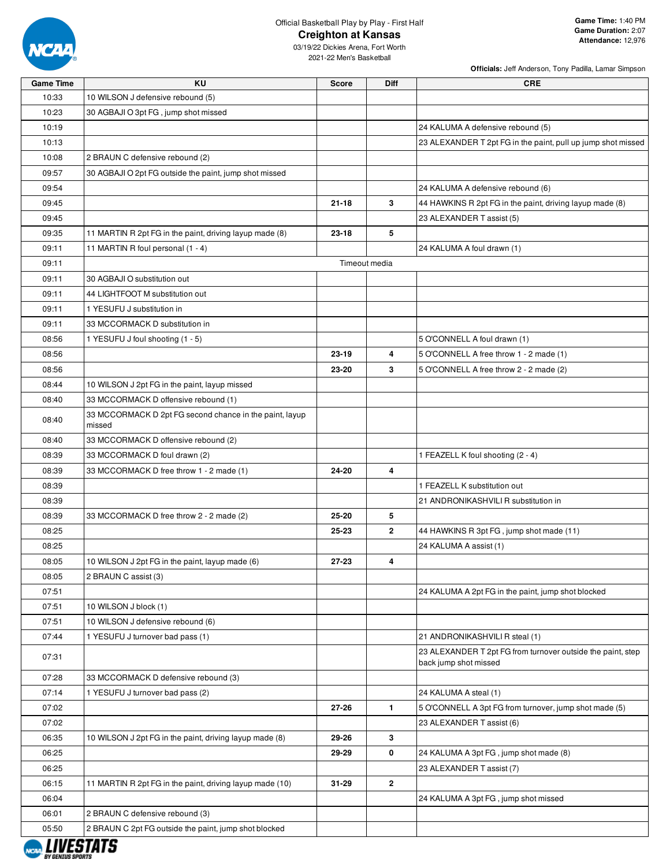

**Officials:** Jeff Anderson, Tony Padilla, Lamar Simpson

| <b>Game Time</b> | <b>KU</b>                                                | <b>Score</b>  | Diff           | <b>CRE</b>                                                                           |
|------------------|----------------------------------------------------------|---------------|----------------|--------------------------------------------------------------------------------------|
| 10:33            | 10 WILSON J defensive rebound (5)                        |               |                |                                                                                      |
| 10:23            | 30 AGBAJI O 3pt FG, jump shot missed                     |               |                |                                                                                      |
| 10:19            |                                                          |               |                | 24 KALUMA A defensive rebound (5)                                                    |
| 10:13            |                                                          |               |                | 23 ALEXANDER T 2pt FG in the paint, pull up jump shot missed                         |
| 10:08            | 2 BRAUN C defensive rebound (2)                          |               |                |                                                                                      |
| 09:57            | 30 AGBAJI O 2pt FG outside the paint, jump shot missed   |               |                |                                                                                      |
| 09:54            |                                                          |               |                | 24 KALUMA A defensive rebound (6)                                                    |
| 09:45            |                                                          | $21 - 18$     | 3              | 44 HAWKINS R 2pt FG in the paint, driving layup made (8)                             |
| 09:45            |                                                          |               |                | 23 ALEXANDER T assist (5)                                                            |
| 09:35            | 11 MARTIN R 2pt FG in the paint, driving layup made (8)  | 23-18         | 5              |                                                                                      |
| 09:11            | 11 MARTIN R foul personal (1 - 4)                        |               |                | 24 KALUMA A foul drawn (1)                                                           |
| 09:11            |                                                          | Timeout media |                |                                                                                      |
| 09:11            | 30 AGBAJI O substitution out                             |               |                |                                                                                      |
| 09:11            | 44 LIGHTFOOT M substitution out                          |               |                |                                                                                      |
| 09:11            | 1 YESUFU J substitution in                               |               |                |                                                                                      |
| 09:11            | 33 MCCORMACK D substitution in                           |               |                |                                                                                      |
| 08:56            | 1 YESUFU J foul shooting (1 - 5)                         |               |                | 5 O'CONNELL A foul drawn (1)                                                         |
| 08:56            |                                                          | 23-19         | 4              | 5 O'CONNELL A free throw 1 - 2 made (1)                                              |
| 08:56            |                                                          | 23-20         | 3              | 5 O'CONNELL A free throw 2 - 2 made (2)                                              |
| 08:44            | 10 WILSON J 2pt FG in the paint, layup missed            |               |                |                                                                                      |
| 08:40            | 33 MCCORMACK D offensive rebound (1)                     |               |                |                                                                                      |
|                  | 33 MCCORMACK D 2pt FG second chance in the paint, layup  |               |                |                                                                                      |
| 08:40            | missed                                                   |               |                |                                                                                      |
| 08:40            | 33 MCCORMACK D offensive rebound (2)                     |               |                |                                                                                      |
| 08:39            | 33 MCCORMACK D foul drawn (2)                            |               |                | 1 FEAZELL K foul shooting (2 - 4)                                                    |
| 08:39            | 33 MCCORMACK D free throw 1 - 2 made (1)                 | 24-20         | 4              |                                                                                      |
| 08:39            |                                                          |               |                | 1 FEAZELL K substitution out                                                         |
| 08:39            |                                                          |               |                | 21 ANDRONIKASHVILI R substitution in                                                 |
| 08:39            | 33 MCCORMACK D free throw 2 - 2 made (2)                 | 25-20         | 5              |                                                                                      |
| 08:25            |                                                          | 25-23         | $\overline{2}$ | 44 HAWKINS R 3pt FG, jump shot made (11)                                             |
| 08:25            |                                                          |               |                | 24 KALUMA A assist (1)                                                               |
| 08:05            | 10 WILSON J 2pt FG in the paint, layup made (6)          | 27-23         | 4              |                                                                                      |
| 08:05            | 2 BRAUN C assist (3)                                     |               |                |                                                                                      |
| 07:51            |                                                          |               |                | 24 KALUMA A 2pt FG in the paint, jump shot blocked                                   |
| 07:51            | 10 WILSON J block (1)                                    |               |                |                                                                                      |
| 07:51            | 10 WILSON J defensive rebound (6)                        |               |                |                                                                                      |
| 07:44            | 1 YESUFU J turnover bad pass (1)                         |               |                | 21 ANDRONIKASHVILI R steal (1)                                                       |
| 07:31            |                                                          |               |                | 23 ALEXANDER T 2pt FG from turnover outside the paint, step<br>back jump shot missed |
| 07:28            | 33 MCCORMACK D defensive rebound (3)                     |               |                |                                                                                      |
| 07:14            | 1 YESUFU J turnover bad pass (2)                         |               |                | 24 KALUMA A steal (1)                                                                |
| 07:02            |                                                          | 27-26         | $\mathbf{1}$   | 5 O'CONNELL A 3pt FG from turnover, jump shot made (5)                               |
| 07:02            |                                                          |               |                | 23 ALEXANDER T assist (6)                                                            |
| 06:35            | 10 WILSON J 2pt FG in the paint, driving layup made (8)  | 29-26         | 3              |                                                                                      |
| 06:25            |                                                          | 29-29         | 0              | 24 KALUMA A 3pt FG, jump shot made (8)                                               |
| 06:25            |                                                          |               |                | 23 ALEXANDER T assist (7)                                                            |
| 06:15            | 11 MARTIN R 2pt FG in the paint, driving layup made (10) | 31-29         | $\mathbf{2}$   |                                                                                      |
|                  |                                                          |               |                |                                                                                      |
| 06:04            |                                                          |               |                | 24 KALUMA A 3pt FG, jump shot missed                                                 |
| 06:01            | 2 BRAUN C defensive rebound (3)                          |               |                |                                                                                      |
| 05:50            | 2 BRAUN C 2pt FG outside the paint, jump shot blocked    |               |                |                                                                                      |

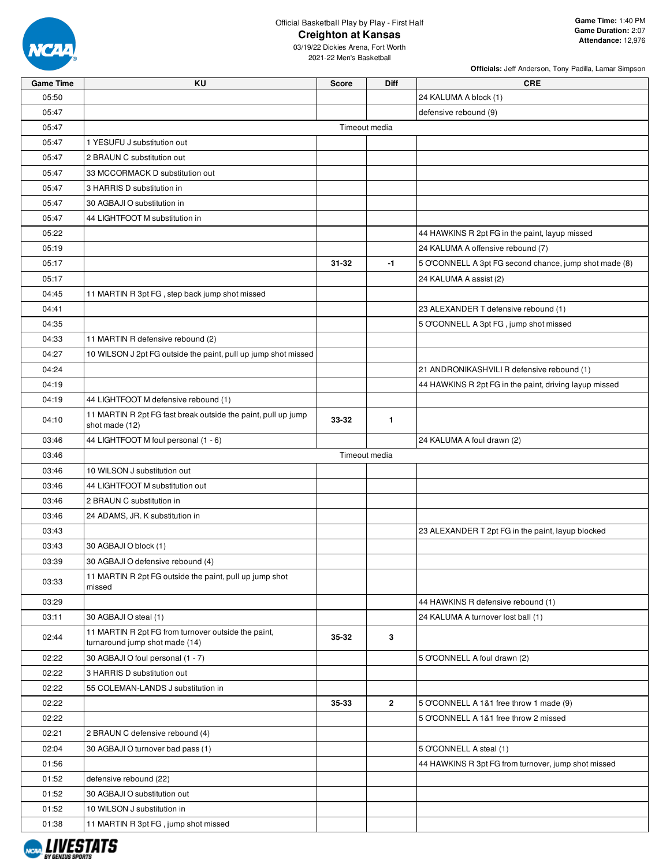

**Officials:** Jeff Anderson, Tony Padilla, Lamar Simpson

| <b>Game Time</b> | <b>KU</b>                                                                             | Score         | <b>Diff</b>  | <b>CRE</b>                                             |
|------------------|---------------------------------------------------------------------------------------|---------------|--------------|--------------------------------------------------------|
| 05:50            |                                                                                       |               |              | 24 KALUMA A block (1)                                  |
| 05:47            |                                                                                       |               |              | defensive rebound (9)                                  |
| 05:47            |                                                                                       | Timeout media |              |                                                        |
| 05:47            | 1 YESUFU J substitution out                                                           |               |              |                                                        |
| 05:47            | 2 BRAUN C substitution out                                                            |               |              |                                                        |
| 05:47            | 33 MCCORMACK D substitution out                                                       |               |              |                                                        |
| 05:47            | 3 HARRIS D substitution in                                                            |               |              |                                                        |
| 05:47            | 30 AGBAJI O substitution in                                                           |               |              |                                                        |
| 05:47            | 44 LIGHTFOOT M substitution in                                                        |               |              |                                                        |
| 05:22            |                                                                                       |               |              | 44 HAWKINS R 2pt FG in the paint, layup missed         |
| 05:19            |                                                                                       |               |              | 24 KALUMA A offensive rebound (7)                      |
| 05:17            |                                                                                       | 31-32         | -1           | 5 O'CONNELL A 3pt FG second chance, jump shot made (8) |
| 05:17            |                                                                                       |               |              | 24 KALUMA A assist (2)                                 |
| 04:45            | 11 MARTIN R 3pt FG, step back jump shot missed                                        |               |              |                                                        |
| 04:41            |                                                                                       |               |              | 23 ALEXANDER T defensive rebound (1)                   |
| 04:35            |                                                                                       |               |              | 5 O'CONNELL A 3pt FG, jump shot missed                 |
| 04:33            | 11 MARTIN R defensive rebound (2)                                                     |               |              |                                                        |
| 04:27            | 10 WILSON J 2pt FG outside the paint, pull up jump shot missed                        |               |              |                                                        |
| 04:24            |                                                                                       |               |              | 21 ANDRONIKASHVILI R defensive rebound (1)             |
| 04:19            |                                                                                       |               |              | 44 HAWKINS R 2pt FG in the paint, driving layup missed |
| 04:19            | 44 LIGHTFOOT M defensive rebound (1)                                                  |               |              |                                                        |
|                  | 11 MARTIN R 2pt FG fast break outside the paint, pull up jump                         |               |              |                                                        |
| 04:10            | shot made (12)                                                                        | 33-32         | $\mathbf{1}$ |                                                        |
| 03:46            | 44 LIGHTFOOT M foul personal (1 - 6)                                                  |               |              | 24 KALUMA A foul drawn (2)                             |
| 03:46            |                                                                                       | Timeout media |              |                                                        |
| 03:46            | 10 WILSON J substitution out                                                          |               |              |                                                        |
| 03:46            | 44 LIGHTFOOT M substitution out                                                       |               |              |                                                        |
| 03:46            | 2 BRAUN C substitution in                                                             |               |              |                                                        |
| 03:46            | 24 ADAMS, JR. K substitution in                                                       |               |              |                                                        |
| 03:43            |                                                                                       |               |              | 23 ALEXANDER T 2pt FG in the paint, layup blocked      |
| 03:43            | 30 AGBAJI O block (1)                                                                 |               |              |                                                        |
| 03:39            | 30 AGBAJI O defensive rebound (4)                                                     |               |              |                                                        |
|                  | 11 MARTIN R 2pt FG outside the paint, pull up jump shot                               |               |              |                                                        |
| 03:33            | missed                                                                                |               |              |                                                        |
| 03:29            |                                                                                       |               |              | 44 HAWKINS R defensive rebound (1)                     |
| 03:11            | 30 AGBAJI O steal (1)                                                                 |               |              | 24 KALUMA A turnover lost ball (1)                     |
| 02:44            | 11 MARTIN R 2pt FG from turnover outside the paint,<br>turnaround jump shot made (14) | 35-32         | 3            |                                                        |
| 02:22            | 30 AGBAJI O foul personal (1 - 7)                                                     |               |              | 5 O'CONNELL A foul drawn (2)                           |
| 02:22            | 3 HARRIS D substitution out                                                           |               |              |                                                        |
| 02:22            | 55 COLEMAN-LANDS J substitution in                                                    |               |              |                                                        |
| 02:22            |                                                                                       | 35-33         | $\mathbf{2}$ | 5 O'CONNELL A 1&1 free throw 1 made (9)                |
| 02:22            |                                                                                       |               |              | 5 O'CONNELL A 1&1 free throw 2 missed                  |
| 02:21            | 2 BRAUN C defensive rebound (4)                                                       |               |              |                                                        |
| 02:04            | 30 AGBAJI O turnover bad pass (1)                                                     |               |              | 5 O'CONNELL A steal (1)                                |
| 01:56            |                                                                                       |               |              | 44 HAWKINS R 3pt FG from turnover, jump shot missed    |
| 01:52            | defensive rebound (22)                                                                |               |              |                                                        |
| 01:52            | 30 AGBAJI O substitution out                                                          |               |              |                                                        |
| 01:52            | 10 WILSON J substitution in                                                           |               |              |                                                        |
| 01:38            | 11 MARTIN R 3pt FG, jump shot missed                                                  |               |              |                                                        |
|                  |                                                                                       |               |              |                                                        |

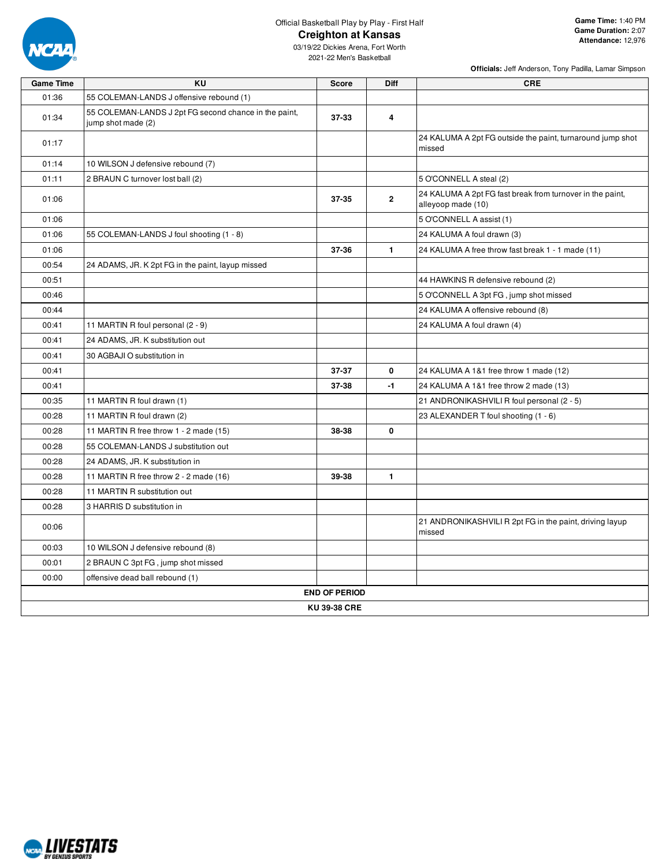

**Officials:** Jeff Anderson, Tony Padilla, Lamar Simpson

| <b>Game Time</b> | <b>KU</b>                                                                   | <b>Score</b>         | Diff           | <b>CRE</b>                                                                      |
|------------------|-----------------------------------------------------------------------------|----------------------|----------------|---------------------------------------------------------------------------------|
| 01:36            | 55 COLEMAN-LANDS J offensive rebound (1)                                    |                      |                |                                                                                 |
| 01:34            | 55 COLEMAN-LANDS J 2pt FG second chance in the paint,<br>jump shot made (2) | 37-33                | 4              |                                                                                 |
| 01:17            |                                                                             |                      |                | 24 KALUMA A 2pt FG outside the paint, turnaround jump shot<br>missed            |
| 01:14            | 10 WILSON J defensive rebound (7)                                           |                      |                |                                                                                 |
| 01:11            | 2 BRAUN C turnover lost ball (2)                                            |                      |                | 5 O'CONNELL A steal (2)                                                         |
| 01:06            |                                                                             | 37-35                | $\overline{2}$ | 24 KALUMA A 2pt FG fast break from turnover in the paint,<br>alleyoop made (10) |
| 01:06            |                                                                             |                      |                | 5 O'CONNELL A assist (1)                                                        |
| 01:06            | 55 COLEMAN-LANDS J foul shooting (1 - 8)                                    |                      |                | 24 KALUMA A foul drawn (3)                                                      |
| 01:06            |                                                                             | 37-36                | $\mathbf{1}$   | 24 KALUMA A free throw fast break 1 - 1 made (11)                               |
| 00:54            | 24 ADAMS, JR. K 2pt FG in the paint, layup missed                           |                      |                |                                                                                 |
| 00:51            |                                                                             |                      |                | 44 HAWKINS R defensive rebound (2)                                              |
| 00:46            |                                                                             |                      |                | 5 O'CONNELL A 3pt FG, jump shot missed                                          |
| 00:44            |                                                                             |                      |                | 24 KALUMA A offensive rebound (8)                                               |
| 00:41            | 11 MARTIN R foul personal (2 - 9)                                           |                      |                | 24 KALUMA A foul drawn (4)                                                      |
| 00:41            | 24 ADAMS, JR. K substitution out                                            |                      |                |                                                                                 |
| 00:41            | 30 AGBAJI O substitution in                                                 |                      |                |                                                                                 |
| 00:41            |                                                                             | 37-37                | 0              | 24 KALUMA A 1&1 free throw 1 made (12)                                          |
| 00:41            |                                                                             | 37-38                | $-1$           | 24 KALUMA A 1&1 free throw 2 made (13)                                          |
| 00:35            | 11 MARTIN R foul drawn (1)                                                  |                      |                | 21 ANDRONIKASHVILI R foul personal (2 - 5)                                      |
| 00:28            | 11 MARTIN R foul drawn (2)                                                  |                      |                | 23 ALEXANDER T foul shooting (1 - 6)                                            |
| 00:28            | 11 MARTIN R free throw 1 - 2 made (15)                                      | 38-38                | $\mathbf 0$    |                                                                                 |
| 00:28            | 55 COLEMAN-LANDS J substitution out                                         |                      |                |                                                                                 |
| 00:28            | 24 ADAMS, JR. K substitution in                                             |                      |                |                                                                                 |
| 00:28            | 11 MARTIN R free throw 2 - 2 made (16)                                      | 39-38                | $\blacksquare$ |                                                                                 |
| 00:28            | 11 MARTIN R substitution out                                                |                      |                |                                                                                 |
| 00:28            | 3 HARRIS D substitution in                                                  |                      |                |                                                                                 |
| 00:06            |                                                                             |                      |                | 21 ANDRONIKASHVILI R 2pt FG in the paint, driving layup<br>missed               |
| 00:03            | 10 WILSON J defensive rebound (8)                                           |                      |                |                                                                                 |
| 00:01            | 2 BRAUN C 3pt FG, jump shot missed                                          |                      |                |                                                                                 |
| 00:00            | offensive dead ball rebound (1)                                             |                      |                |                                                                                 |
|                  |                                                                             | <b>END OF PERIOD</b> |                |                                                                                 |
|                  |                                                                             | KU 39-38 CRE         |                |                                                                                 |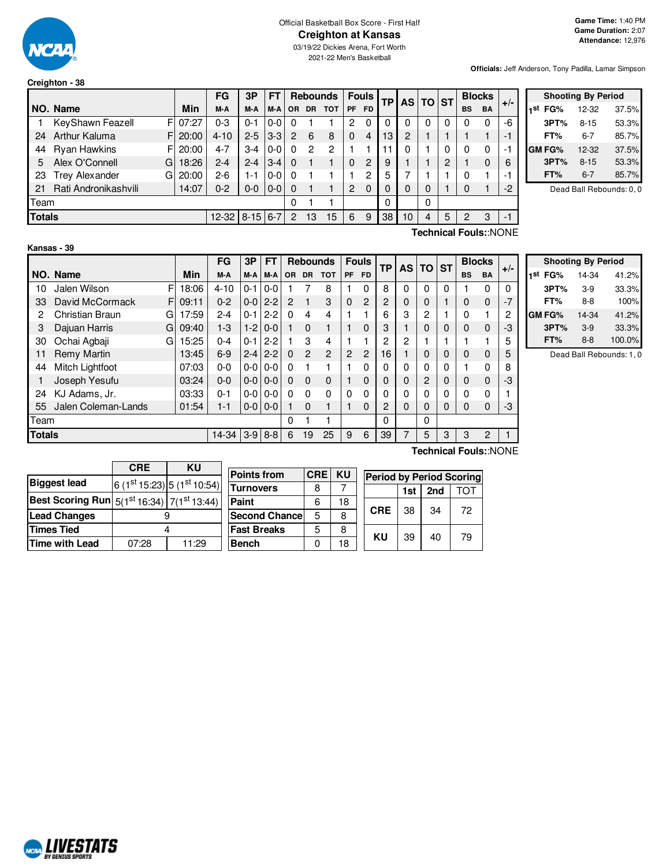

#### Official Basketball Box Score - First Half **Creighton at Kansas**

03/19/22 Dickies Arena, Fort Worth 2021-22 Men's Basketball

**Officials:** Jeff Anderson, Tony Padilla, Lamar Simpson

|               | Creighton - 38        |    |          |          |            |         |           |           |                 |          |                |    |                |       |           |           |                         |       |
|---------------|-----------------------|----|----------|----------|------------|---------|-----------|-----------|-----------------|----------|----------------|----|----------------|-------|-----------|-----------|-------------------------|-------|
|               |                       |    |          | FG       | 3P         | FТ      |           |           | <b>Rebounds</b> |          | <b>Fouls</b>   | ТP |                | AS TO | <b>ST</b> |           | <b>Blocks</b>           |       |
|               | NO. Name              |    | Min      | M-A      | M-A        | M-A     | <b>OR</b> | <b>DR</b> | <b>TOT</b>      | PF       | <b>FD</b>      |    |                |       |           | <b>BS</b> | <b>BA</b>               | $+/-$ |
|               | KeyShawn Feazell      |    | FI 07:27 | $0 - 3$  | $0 - 1$    | $0-0$   | 0         |           |                 | 2        | 0              | 0  | $\Omega$       | 0     | 0         | 0         | 0                       | -6    |
| 24            | Arthur Kaluma         |    | FI 20:00 | $4 - 10$ | $2 - 5$    | $3-3$   | 2         | 6         | 8               | $\Omega$ | $\overline{4}$ | 13 | $\overline{2}$ |       |           |           |                         | -1    |
| 44            | <b>Ryan Hawkins</b>   |    | FI 20:00 | $4 - 7$  | $3 - 4$    | $0 - 0$ | $\Omega$  | 2         | 2               |          |                | 11 | 0              |       | 0         | 0         | 0                       | -1    |
| 5             | Alex O'Connell        | G  | 18:26    | $2 - 4$  | $2 - 4$    | $3 - 4$ | $\Omega$  |           |                 | 0        | $\overline{2}$ | 9  |                |       | 2         |           | 0                       | 6     |
| 23            | <b>Trey Alexander</b> | Gl | 20:00    | $2-6$    | $1 - 1$    | $0 - 0$ | $\Omega$  |           |                 |          | 2              | 5  | 7              |       |           | 0         |                         | ÷     |
| 21            | Rati Andronikashvili  |    | 14:07    | $0 - 2$  | $0 - 0$    | $10-0$  | $\Omega$  |           |                 | 2        | $\Omega$       | 0  | 0              | 0     |           | 0         |                         | $-2$  |
| Team          |                       |    |          |          |            |         | 0         |           |                 |          |                | 0  |                | 0     |           |           |                         |       |
| <b>Totals</b> |                       |    |          | $12-32$  | $8-15$ 6-7 |         | 2         | 13        | 15              | 6        | 9              | 38 | 10             | 4     | 5         | 2         | 3                       | $-1$  |
|               |                       |    |          |          |            |         |           |           |                 |          |                |    |                |       |           |           | エンストルじょうし ロッシリスト トロヘトリロ |       |

|            | <b>Shooting By Period</b> |       |
|------------|---------------------------|-------|
| 1st<br>FG% | 12-32                     | 37.5% |
| 3PT%       | $8 - 15$                  | 53.3% |
| FT%        | 6-7                       | 85.7% |
| GM FG%     | 12-32                     | 37.5% |
| 3PT%       | $8 - 15$                  | 53.3% |
| FT%        | $6 - 7$                   | 85.7% |

Dead Ball Rebounds: 0, 0

#### **Kansas - 39**

**Technical Fouls:**:NONE

|               |                     |   |       | FG       | 3P      | <b>FT</b> |          | <b>Rebounds</b> |                |                | <b>Fouls</b>   | <b>TP</b>      |   | AS I<br>ΤO     |           |           | <b>Blocks</b> | $+/-$ |
|---------------|---------------------|---|-------|----------|---------|-----------|----------|-----------------|----------------|----------------|----------------|----------------|---|----------------|-----------|-----------|---------------|-------|
|               | NO. Name            |   | Min   | M-A      | M-A     | M-A       | OR.      | <b>DR</b>       | <b>TOT</b>     | <b>PF</b>      | <b>FD</b>      |                |   |                | <b>ST</b> | <b>BS</b> | <b>BA</b>     |       |
| 10            | Jalen Wilson        | F | 18:06 | $4 - 10$ | $0 - 1$ | $0-0$     |          |                 | 8              |                | 0              | 8              | 0 | 0              | 0         |           | 0             | 0     |
| 33            | David McCormack     | F | 09:11 | $0 - 2$  | $0 - 0$ | $2 - 2$   | 2        | 1               | 3              | $\Omega$       | $\overline{c}$ | $\overline{2}$ | 0 | 0              |           | $\Omega$  | 0             | $-7$  |
| 2             | Christian Braun     | G | 17:59 | $2 - 4$  | $0 - 1$ | $2 - 2$   | $\Omega$ | 4               | 4              |                |                | 6              | 3 | 2              |           | 0         |               | 2     |
| 3             | Dajuan Harris       | G | 09:40 | $1 - 3$  | $1-2$   | $0-0$     |          | $\Omega$        |                |                | 0              | 3              |   | 0              | 0         | $\Omega$  | 0             | -3    |
| 30            | Ochai Agbaji        | G | 15:25 | $0 - 4$  | $0 - 1$ | $2 - 2$   |          | 3               | 4              |                |                | 2              | 2 |                |           |           |               | 5     |
| 11            | Remy Martin         |   | 13:45 | $6-9$    | $2 - 4$ | $2 - 2$   | $\Omega$ | $\overline{c}$  | $\overline{2}$ | $\overline{2}$ | $\overline{c}$ | 16             |   | 0              | 0         | $\Omega$  | 0             | 5     |
| 44            | Mitch Lightfoot     |   | 07:03 | $0 - 0$  | $0-0$   | $0-0$     | $\Omega$ |                 |                |                | 0              | 0              | 0 | 0              | 0         |           | 0             | 8     |
|               | Joseph Yesufu       |   | 03:24 | $0 - 0$  | $0 - 0$ | $0 - 0$   | $\Omega$ | $\Omega$        | $\Omega$       |                | 0              | 0              | 0 | $\overline{c}$ | 0         | $\Omega$  | $\Omega$      | -3    |
| 24            | KJ Adams, Jr.       |   | 03:33 | $0 - 1$  | $0-0$   | $0-0$     | $\Omega$ | $\Omega$        | $\Omega$       | $\mathbf{0}$   | 0              | 0              | 0 | 0              | 0         | 0         | 0             |       |
| 55            | Jalen Coleman-Lands |   | 01:54 | $1 - 1$  | $0-0$   | $0 - 0$   |          | $\Omega$        |                |                | 0              | $\overline{2}$ | 0 | 0              | 0         | $\Omega$  | $\Omega$      | -3    |
| Team          |                     |   |       |          |         |           | 0        |                 |                |                |                | 0              |   | 0              |           |           |               |       |
| <b>Totals</b> |                     |   |       | 14-34    | $3-9$   | $8 - 8$   | 6        | 19              | 25             | 9              | 6              | 39             | 7 | 5              | 3         | 3         | 2             |       |

**Shooting By Period 1 st FG%** 14-34 41.2% **3PT%** 3-9 33.3% **FT%** 8-8 100% **GM FG%** 14-34 41.2% **3PT%** 3-9 33.3% **FT%** 8-8 100.0%

Dead Ball Rebounds: 1, 0

|                                                      | <b>CRE</b> | ΚU                          |  |  |  |
|------------------------------------------------------|------------|-----------------------------|--|--|--|
| <b>Biggest lead</b>                                  |            | 6 (1st 15:23) 5 (1st 10:54) |  |  |  |
| Best Scoring Run $5(1^{st}16:34)$ 7( $1^{st}13:44$ ) |            |                             |  |  |  |
| <b>Lead Changes</b>                                  |            |                             |  |  |  |
| <b>Times Tied</b>                                    |            |                             |  |  |  |
| <b>Time with Lead</b>                                | 07:28      | 11:29                       |  |  |  |

| <b>Points from</b>   | <b>CRE</b> | <b>KU</b> | <b>Period by Period Scoring</b> |    |    |    |  |  |  |  |
|----------------------|------------|-----------|---------------------------------|----|----|----|--|--|--|--|
| <b>Turnovers</b>     | 8          |           | 2nd<br>1st                      |    |    |    |  |  |  |  |
| Paint                | 6          | 18        |                                 |    |    |    |  |  |  |  |
| <b>Second Chance</b> | 5          | 8         | <b>CRE</b>                      | 38 | 34 | 72 |  |  |  |  |
| <b>Fast Breaks</b>   | 5          | 8         | KU                              |    |    |    |  |  |  |  |
| <b>Bench</b>         |            | 18        |                                 | 39 | 40 | 79 |  |  |  |  |

**Technical Fouls:**:NONE

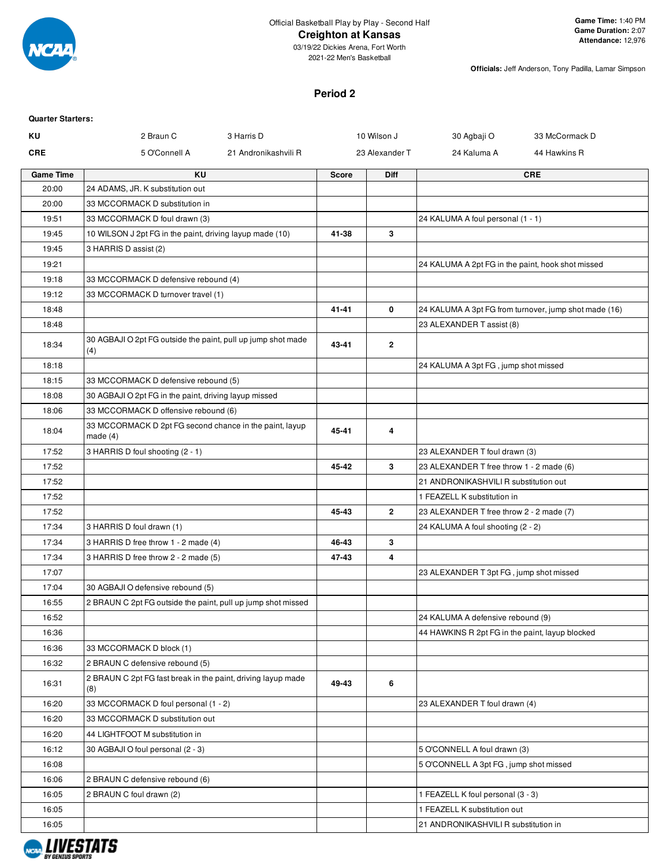

2021-22 Men's Basketball

**Officials:** Jeff Anderson, Tony Padilla, Lamar Simpson

#### **Period 2**

| <b>Quarter Starters:</b> |                                                                       |                      |              |                |                                                   |                                                       |
|--------------------------|-----------------------------------------------------------------------|----------------------|--------------|----------------|---------------------------------------------------|-------------------------------------------------------|
| ΚU                       | 2 Braun C                                                             | 3 Harris D           |              | 10 Wilson J    | 30 Agbaji O                                       | 33 McCormack D                                        |
| <b>CRE</b>               | 5 O'Connell A                                                         | 21 Andronikashvili R |              | 23 Alexander T | 24 Kaluma A                                       | 44 Hawkins R                                          |
| <b>Game Time</b>         | <b>KU</b>                                                             |                      | <b>Score</b> | Diff           |                                                   | <b>CRE</b>                                            |
| 20:00                    | 24 ADAMS, JR. K substitution out                                      |                      |              |                |                                                   |                                                       |
| 20:00                    | 33 MCCORMACK D substitution in                                        |                      |              |                |                                                   |                                                       |
| 19:51                    | 33 MCCORMACK D foul drawn (3)                                         |                      |              |                | 24 KALUMA A foul personal (1 - 1)                 |                                                       |
| 19:45                    | 10 WILSON J 2pt FG in the paint, driving layup made (10)              |                      | 41-38        | 3              |                                                   |                                                       |
| 19:45                    | 3 HARRIS D assist (2)                                                 |                      |              |                |                                                   |                                                       |
| 19:21                    |                                                                       |                      |              |                | 24 KALUMA A 2pt FG in the paint, hook shot missed |                                                       |
| 19:18                    | 33 MCCORMACK D defensive rebound (4)                                  |                      |              |                |                                                   |                                                       |
| 19:12                    | 33 MCCORMACK D turnover travel (1)                                    |                      |              |                |                                                   |                                                       |
| 18:48                    |                                                                       |                      | 41-41        | 0              |                                                   | 24 KALUMA A 3pt FG from turnover, jump shot made (16) |
| 18:48                    |                                                                       |                      |              |                | 23 ALEXANDER T assist (8)                         |                                                       |
| 18:34                    | 30 AGBAJI O 2pt FG outside the paint, pull up jump shot made<br>(4)   |                      | 43-41        | $\mathbf{2}$   |                                                   |                                                       |
| 18:18                    |                                                                       |                      |              |                | 24 KALUMA A 3pt FG, jump shot missed              |                                                       |
| 18:15                    | 33 MCCORMACK D defensive rebound (5)                                  |                      |              |                |                                                   |                                                       |
| 18:08                    | 30 AGBAJI O 2pt FG in the paint, driving layup missed                 |                      |              |                |                                                   |                                                       |
| 18:06                    | 33 MCCORMACK D offensive rebound (6)                                  |                      |              |                |                                                   |                                                       |
| 18:04                    | 33 MCCORMACK D 2pt FG second chance in the paint, layup<br>made $(4)$ |                      | 45-41        | 4              |                                                   |                                                       |
| 17:52                    | 3 HARRIS D foul shooting (2 - 1)                                      |                      |              |                | 23 ALEXANDER T foul drawn (3)                     |                                                       |
| 17:52                    |                                                                       |                      | 45-42        | 3              | 23 ALEXANDER T free throw 1 - 2 made (6)          |                                                       |
| 17:52                    |                                                                       |                      |              |                | 21 ANDRONIKASHVILI R substitution out             |                                                       |
| 17:52                    |                                                                       |                      |              |                | 1 FEAZELL K substitution in                       |                                                       |
| 17:52                    |                                                                       |                      | 45-43        | $\overline{2}$ | 23 ALEXANDER T free throw 2 - 2 made (7)          |                                                       |
| 17:34                    | 3 HARRIS D foul drawn (1)                                             |                      |              |                | 24 KALUMA A foul shooting (2 - 2)                 |                                                       |
| 17:34                    | 3 HARRIS D free throw 1 - 2 made (4)                                  |                      | 46-43        | 3              |                                                   |                                                       |
| 17:34                    | 3 HARRIS D free throw 2 - 2 made (5)                                  |                      | 47-43        | 4              |                                                   |                                                       |
| 17:07                    |                                                                       |                      |              |                | 23 ALEXANDER T 3pt FG, jump shot missed           |                                                       |
| 17:04                    | 30 AGBAJI O defensive rebound (5)                                     |                      |              |                |                                                   |                                                       |
| 16:55                    | 2 BRAUN C 2pt FG outside the paint, pull up jump shot missed          |                      |              |                |                                                   |                                                       |
| 16:52                    |                                                                       |                      |              |                | 24 KALUMA A defensive rebound (9)                 |                                                       |
| 16:36                    |                                                                       |                      |              |                | 44 HAWKINS R 2pt FG in the paint, layup blocked   |                                                       |
| 16:36                    | 33 MCCORMACK D block (1)                                              |                      |              |                |                                                   |                                                       |
| 16:32                    | 2 BRAUN C defensive rebound (5)                                       |                      |              |                |                                                   |                                                       |
| 16:31                    | 2 BRAUN C 2pt FG fast break in the paint, driving layup made<br>(8)   |                      | 49-43        | 6              |                                                   |                                                       |
| 16:20                    | 33 MCCORMACK D foul personal (1 - 2)                                  |                      |              |                | 23 ALEXANDER T foul drawn (4)                     |                                                       |
| 16:20                    | 33 MCCORMACK D substitution out                                       |                      |              |                |                                                   |                                                       |
| 16:20                    | 44 LIGHTFOOT M substitution in                                        |                      |              |                |                                                   |                                                       |
| 16:12                    | 30 AGBAJI O foul personal (2 - 3)                                     |                      |              |                | 5 O'CONNELL A foul drawn (3)                      |                                                       |
| 16:08                    |                                                                       |                      |              |                | 5 O'CONNELL A 3pt FG, jump shot missed            |                                                       |
| 16:06                    | 2 BRAUN C defensive rebound (6)                                       |                      |              |                |                                                   |                                                       |
| 16:05                    | 2 BRAUN C foul drawn (2)                                              |                      |              |                | 1 FEAZELL K foul personal (3 - 3)                 |                                                       |
| 16:05                    |                                                                       |                      |              |                | 1 FEAZELL K substitution out                      |                                                       |
| 16:05                    |                                                                       |                      |              |                | 21 ANDRONIKASHVILI R substitution in              |                                                       |

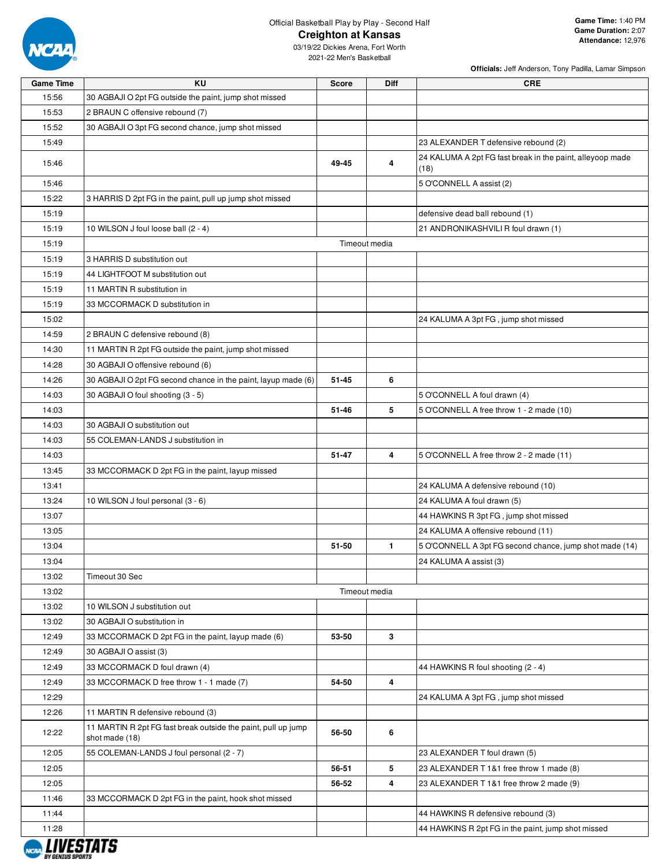

**Officials:** Jeff Anderson, Tony Padilla, Lamar Simpson

| 24 KALUMA A 2pt FG fast break in the paint, alleyoop made |
|-----------------------------------------------------------|
|                                                           |
|                                                           |
|                                                           |
|                                                           |
|                                                           |
|                                                           |
|                                                           |
|                                                           |
|                                                           |
|                                                           |
|                                                           |
|                                                           |
|                                                           |
|                                                           |
|                                                           |
|                                                           |
|                                                           |
|                                                           |
|                                                           |
|                                                           |
|                                                           |
|                                                           |
|                                                           |
|                                                           |
|                                                           |
|                                                           |
|                                                           |
|                                                           |
|                                                           |
| 5 O'CONNELL A 3pt FG second chance, jump shot made (14)   |
|                                                           |
|                                                           |
|                                                           |
|                                                           |
|                                                           |
|                                                           |
|                                                           |
|                                                           |
|                                                           |
|                                                           |
|                                                           |
|                                                           |
|                                                           |
|                                                           |
|                                                           |
|                                                           |
|                                                           |
| 44 HAWKINS R 2pt FG in the paint, jump shot missed        |
|                                                           |

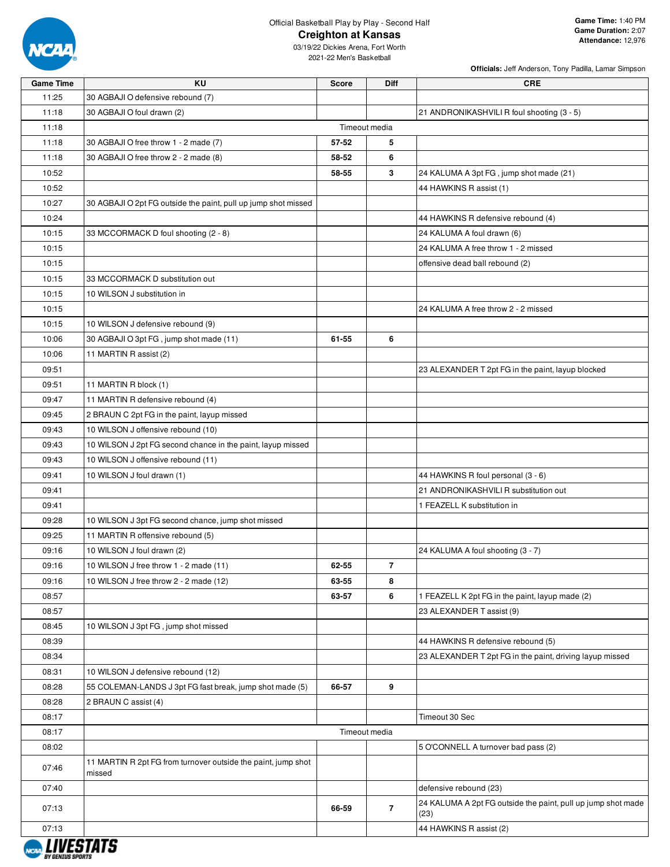

03/19/22 Dickies Arena, Fort Worth 2021-22 Men's Basketball

**Officials:** Jeff Anderson, Tony Padilla, Lamar Simpson

| <b>Game Time</b> | <b>KU</b>                                                               | <b>Score</b>  | <b>Diff</b>    | <b>CRE</b>                                                           |
|------------------|-------------------------------------------------------------------------|---------------|----------------|----------------------------------------------------------------------|
| 11:25            | 30 AGBAJI O defensive rebound (7)                                       |               |                |                                                                      |
| 11:18            | 30 AGBAJI O foul drawn (2)                                              |               |                | 21 ANDRONIKASHVILI R foul shooting (3 - 5)                           |
| 11:18            |                                                                         | Timeout media |                |                                                                      |
| 11:18            | 30 AGBAJI O free throw 1 - 2 made (7)                                   | 57-52         | 5              |                                                                      |
| 11:18            | 30 AGBAJI O free throw 2 - 2 made (8)                                   | 58-52         | 6              |                                                                      |
| 10:52            |                                                                         | 58-55         | 3              | 24 KALUMA A 3pt FG, jump shot made (21)                              |
| 10:52            |                                                                         |               |                | 44 HAWKINS R assist (1)                                              |
| 10:27            | 30 AGBAJI O 2pt FG outside the paint, pull up jump shot missed          |               |                |                                                                      |
| 10:24            |                                                                         |               |                | 44 HAWKINS R defensive rebound (4)                                   |
| 10:15            | 33 MCCORMACK D foul shooting (2 - 8)                                    |               |                | 24 KALUMA A foul drawn (6)                                           |
| 10:15            |                                                                         |               |                | 24 KALUMA A free throw 1 - 2 missed                                  |
| 10:15            |                                                                         |               |                | offensive dead ball rebound (2)                                      |
| 10:15            | 33 MCCORMACK D substitution out                                         |               |                |                                                                      |
| 10:15            | 10 WILSON J substitution in                                             |               |                |                                                                      |
| 10:15            |                                                                         |               |                | 24 KALUMA A free throw 2 - 2 missed                                  |
| 10:15            | 10 WILSON J defensive rebound (9)                                       |               |                |                                                                      |
| 10:06            | 30 AGBAJI O 3pt FG, jump shot made (11)                                 | 61-55         | 6              |                                                                      |
| 10:06            | 11 MARTIN R assist (2)                                                  |               |                |                                                                      |
| 09:51            |                                                                         |               |                | 23 ALEXANDER T 2pt FG in the paint, layup blocked                    |
| 09:51            | 11 MARTIN R block (1)                                                   |               |                |                                                                      |
| 09:47            | 11 MARTIN R defensive rebound (4)                                       |               |                |                                                                      |
| 09:45            | 2 BRAUN C 2pt FG in the paint, layup missed                             |               |                |                                                                      |
| 09:43            | 10 WILSON J offensive rebound (10)                                      |               |                |                                                                      |
| 09:43            | 10 WILSON J 2pt FG second chance in the paint, layup missed             |               |                |                                                                      |
| 09:43            | 10 WILSON J offensive rebound (11)                                      |               |                |                                                                      |
| 09:41            | 10 WILSON J foul drawn (1)                                              |               |                | 44 HAWKINS R foul personal (3 - 6)                                   |
| 09:41            |                                                                         |               |                | 21 ANDRONIKASHVILI R substitution out                                |
| 09:41            |                                                                         |               |                | 1 FEAZELL K substitution in                                          |
| 09:28            | 10 WILSON J 3pt FG second chance, jump shot missed                      |               |                |                                                                      |
| 09:25            | 11 MARTIN R offensive rebound (5)                                       |               |                |                                                                      |
| 09:16            | 10 WILSON J foul drawn (2)                                              |               |                | 24 KALUMA A foul shooting (3 - 7)                                    |
| 09:16            | 10 WILSON J free throw 1 - 2 made (11)                                  | 62-55         | $\overline{7}$ |                                                                      |
| 09:16            | 10 WILSON J free throw 2 - 2 made (12)                                  | 63-55         | 8              |                                                                      |
| 08:57            |                                                                         | 63-57         | 6              | 1 FEAZELL K 2pt FG in the paint, layup made (2)                      |
| 08:57            |                                                                         |               |                | 23 ALEXANDER T assist (9)                                            |
| 08:45            | 10 WILSON J 3pt FG, jump shot missed                                    |               |                |                                                                      |
| 08:39            |                                                                         |               |                | 44 HAWKINS R defensive rebound (5)                                   |
| 08:34            |                                                                         |               |                | 23 ALEXANDER T 2pt FG in the paint, driving layup missed             |
| 08:31            | 10 WILSON J defensive rebound (12)                                      |               |                |                                                                      |
| 08:28            | 55 COLEMAN-LANDS J 3pt FG fast break, jump shot made (5)                | 66-57         | 9              |                                                                      |
| 08:28            | 2 BRAUN C assist (4)                                                    |               |                |                                                                      |
| 08:17            |                                                                         |               |                | Timeout 30 Sec                                                       |
| 08:17            |                                                                         | Timeout media |                |                                                                      |
| 08:02            |                                                                         |               |                | 5 O'CONNELL A turnover bad pass (2)                                  |
| 07:46            | 11 MARTIN R 2pt FG from turnover outside the paint, jump shot<br>missed |               |                |                                                                      |
| 07:40            |                                                                         |               |                | defensive rebound (23)                                               |
| 07:13            |                                                                         | 66-59         | $\overline{7}$ | 24 KALUMA A 2pt FG outside the paint, pull up jump shot made<br>(23) |
| 07:13            |                                                                         |               |                | 44 HAWKINS R assist (2)                                              |
|                  |                                                                         |               |                |                                                                      |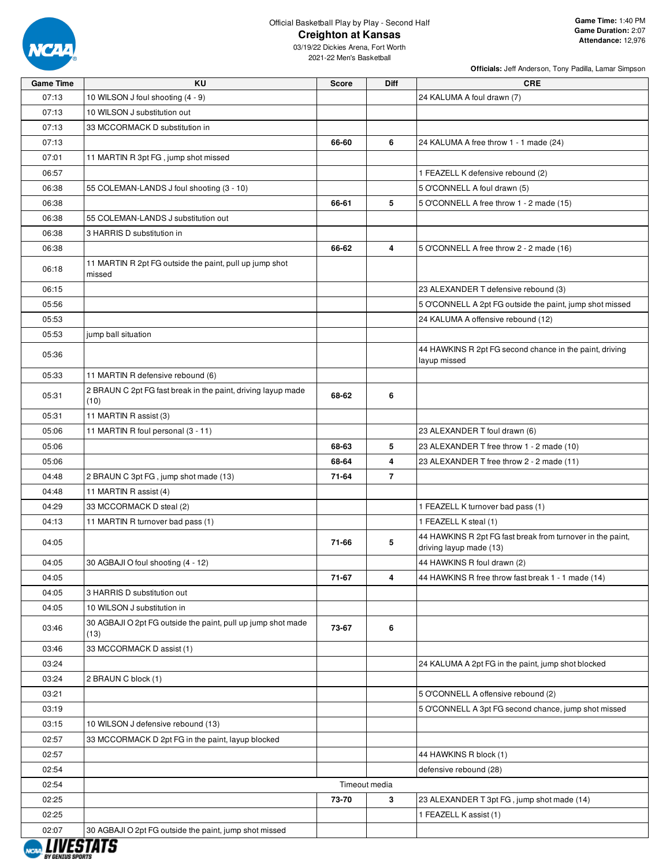

03/19/22 Dickies Arena, Fort Worth 2021-22 Men's Basketball

**Officials:** Jeff Anderson, Tony Padilla, Lamar Simpson

| <b>Game Time</b>                   | KU                                                                   | <b>Score</b> | <b>Diff</b>    | <b>CRE</b>                                                                            |
|------------------------------------|----------------------------------------------------------------------|--------------|----------------|---------------------------------------------------------------------------------------|
| 07:13                              | 10 WILSON J foul shooting (4 - 9)                                    |              |                | 24 KALUMA A foul drawn (7)                                                            |
| 07:13                              | 10 WILSON J substitution out                                         |              |                |                                                                                       |
| 07:13                              | 33 MCCORMACK D substitution in                                       |              |                |                                                                                       |
| 07:13                              |                                                                      | 66-60        | 6              | 24 KALUMA A free throw 1 - 1 made (24)                                                |
| 07:01                              | 11 MARTIN R 3pt FG, jump shot missed                                 |              |                |                                                                                       |
| 06:57                              |                                                                      |              |                | 1 FEAZELL K defensive rebound (2)                                                     |
| 06:38                              | 55 COLEMAN-LANDS J foul shooting (3 - 10)                            |              |                | 5 O'CONNELL A foul drawn (5)                                                          |
| 06:38                              |                                                                      | 66-61        | 5              | 5 O'CONNELL A free throw 1 - 2 made (15)                                              |
| 06:38                              | 55 COLEMAN-LANDS J substitution out                                  |              |                |                                                                                       |
| 06:38                              | 3 HARRIS D substitution in                                           |              |                |                                                                                       |
| 06:38                              |                                                                      | 66-62        | 4              | 5 O'CONNELL A free throw 2 - 2 made (16)                                              |
| 06:18                              | 11 MARTIN R 2pt FG outside the paint, pull up jump shot<br>missed    |              |                |                                                                                       |
| 06:15                              |                                                                      |              |                | 23 ALEXANDER T defensive rebound (3)                                                  |
| 05:56                              |                                                                      |              |                | 5 O'CONNELL A 2pt FG outside the paint, jump shot missed                              |
| 05:53                              |                                                                      |              |                | 24 KALUMA A offensive rebound (12)                                                    |
| 05:53                              | jump ball situation                                                  |              |                |                                                                                       |
| 05:36                              |                                                                      |              |                | 44 HAWKINS R 2pt FG second chance in the paint, driving<br>layup missed               |
| 05:33                              | 11 MARTIN R defensive rebound (6)                                    |              |                |                                                                                       |
| 05:31                              | 2 BRAUN C 2pt FG fast break in the paint, driving layup made<br>(10) | 68-62        | 6              |                                                                                       |
| 05:31                              | 11 MARTIN R assist (3)                                               |              |                |                                                                                       |
| 05:06                              | 11 MARTIN R foul personal (3 - 11)                                   |              |                | 23 ALEXANDER T foul drawn (6)                                                         |
| 05:06                              |                                                                      | 68-63        | 5              | 23 ALEXANDER T free throw 1 - 2 made (10)                                             |
| 05:06                              |                                                                      | 68-64        | 4              | 23 ALEXANDER T free throw 2 - 2 made (11)                                             |
| 04:48                              | 2 BRAUN C 3pt FG, jump shot made (13)                                | 71-64        | $\overline{7}$ |                                                                                       |
| 04:48                              | 11 MARTIN R assist (4)                                               |              |                |                                                                                       |
| 04:29                              | 33 MCCORMACK D steal (2)                                             |              |                | 1 FEAZELL K turnover bad pass (1)                                                     |
| 04:13                              | 11 MARTIN R turnover bad pass (1)                                    |              |                | 1 FEAZELL K steal (1)                                                                 |
| 04:05                              |                                                                      | 71-66        | 5              | 44 HAWKINS R 2pt FG fast break from turnover in the paint,<br>driving layup made (13) |
| 04:05                              | 30 AGBAJI O foul shooting (4 - 12)                                   |              |                | 44 HAWKINS R foul drawn (2)                                                           |
| 04:05                              |                                                                      | 71-67        | 4              | 44 HAWKINS R free throw fast break 1 - 1 made (14)                                    |
| 04:05                              | 3 HARRIS D substitution out                                          |              |                |                                                                                       |
| 04:05                              | 10 WILSON J substitution in                                          |              |                |                                                                                       |
| 03:46                              | 30 AGBAJI O 2pt FG outside the paint, pull up jump shot made<br>(13) | 73-67        | 6              |                                                                                       |
| 03:46                              | 33 MCCORMACK D assist (1)                                            |              |                |                                                                                       |
| 03:24                              |                                                                      |              |                | 24 KALUMA A 2pt FG in the paint, jump shot blocked                                    |
| 03:24                              | 2 BRAUN C block (1)                                                  |              |                |                                                                                       |
| 03:21                              |                                                                      |              |                | 5 O'CONNELL A offensive rebound (2)                                                   |
| 03:19                              |                                                                      |              |                | 5 O'CONNELL A 3pt FG second chance, jump shot missed                                  |
| 03:15                              | 10 WILSON J defensive rebound (13)                                   |              |                |                                                                                       |
| 02:57                              | 33 MCCORMACK D 2pt FG in the paint, layup blocked                    |              |                |                                                                                       |
| 02:57                              |                                                                      |              |                | 44 HAWKINS R block (1)                                                                |
| 02:54                              |                                                                      |              |                | defensive rebound (28)                                                                |
| 02:54                              |                                                                      |              | Timeout media  |                                                                                       |
| 02:25                              |                                                                      | 73-70        | 3              | 23 ALEXANDER T 3pt FG, jump shot made (14)                                            |
| 02:25                              |                                                                      |              |                | 1 FEAZELL K assist (1)                                                                |
| 02:07<br><i><b>I IIIFATATA</b></i> | 30 AGBAJI O 2pt FG outside the paint, jump shot missed               |              |                |                                                                                       |

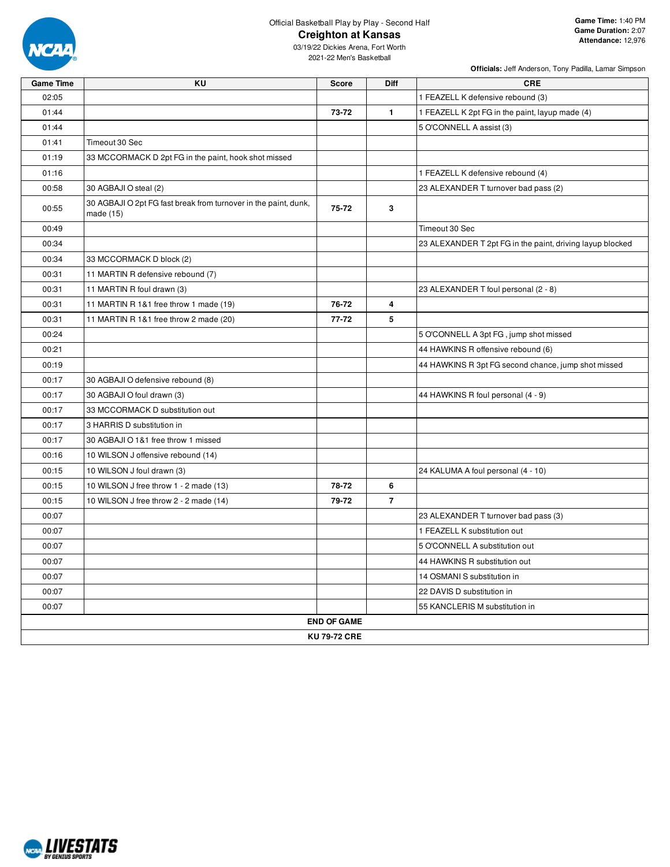

**Officials:** Jeff Anderson, Tony Padilla, Lamar Simpson

| <b>Game Time</b> | KU                                                                           | <b>Score</b>       | Diff           | <b>CRE</b>                                                |
|------------------|------------------------------------------------------------------------------|--------------------|----------------|-----------------------------------------------------------|
| 02:05            |                                                                              |                    |                | 1 FEAZELL K defensive rebound (3)                         |
| 01:44            |                                                                              | 73-72              | $\mathbf{1}$   | 1 FEAZELL K 2pt FG in the paint, layup made (4)           |
| 01:44            |                                                                              |                    |                | 5 O'CONNELL A assist (3)                                  |
| 01:41            | Timeout 30 Sec                                                               |                    |                |                                                           |
| 01:19            | 33 MCCORMACK D 2pt FG in the paint, hook shot missed                         |                    |                |                                                           |
| 01:16            |                                                                              |                    |                | 1 FEAZELL K defensive rebound (4)                         |
| 00:58            | 30 AGBAJI O steal (2)                                                        |                    |                | 23 ALEXANDER T turnover bad pass (2)                      |
| 00:55            | 30 AGBAJI O 2pt FG fast break from turnover in the paint, dunk,<br>made (15) | 75-72              | 3              |                                                           |
| 00:49            |                                                                              |                    |                | Timeout 30 Sec                                            |
| 00:34            |                                                                              |                    |                | 23 ALEXANDER T 2pt FG in the paint, driving layup blocked |
| 00:34            | 33 MCCORMACK D block (2)                                                     |                    |                |                                                           |
| 00:31            | 11 MARTIN R defensive rebound (7)                                            |                    |                |                                                           |
| 00:31            | 11 MARTIN R foul drawn (3)                                                   |                    |                | 23 ALEXANDER T foul personal (2 - 8)                      |
| 00:31            | 11 MARTIN R 1&1 free throw 1 made (19)                                       | 76-72              | 4              |                                                           |
| 00:31            | 11 MARTIN R 1&1 free throw 2 made (20)                                       | 77-72              | 5              |                                                           |
| 00:24            |                                                                              |                    |                | 5 O'CONNELL A 3pt FG, jump shot missed                    |
| 00:21            |                                                                              |                    |                | 44 HAWKINS R offensive rebound (6)                        |
| 00:19            |                                                                              |                    |                | 44 HAWKINS R 3pt FG second chance, jump shot missed       |
| 00:17            | 30 AGBAJI O defensive rebound (8)                                            |                    |                |                                                           |
| 00:17            | 30 AGBAJI O foul drawn (3)                                                   |                    |                | 44 HAWKINS R foul personal (4 - 9)                        |
| 00:17            | 33 MCCORMACK D substitution out                                              |                    |                |                                                           |
| 00:17            | 3 HARRIS D substitution in                                                   |                    |                |                                                           |
| 00:17            | 30 AGBAJI O 1&1 free throw 1 missed                                          |                    |                |                                                           |
| 00:16            | 10 WILSON J offensive rebound (14)                                           |                    |                |                                                           |
| 00:15            | 10 WILSON J foul drawn (3)                                                   |                    |                | 24 KALUMA A foul personal (4 - 10)                        |
| 00:15            | 10 WILSON J free throw 1 - 2 made (13)                                       | 78-72              | 6              |                                                           |
| 00:15            | 10 WILSON J free throw 2 - 2 made (14)                                       | 79-72              | $\overline{7}$ |                                                           |
| 00:07            |                                                                              |                    |                | 23 ALEXANDER T turnover bad pass (3)                      |
| 00:07            |                                                                              |                    |                | 1 FEAZELL K substitution out                              |
| 00:07            |                                                                              |                    |                | 5 O'CONNELL A substitution out                            |
| 00:07            |                                                                              |                    |                | 44 HAWKINS R substitution out                             |
| 00:07            |                                                                              |                    |                | 14 OSMANI S substitution in                               |
| 00:07            |                                                                              |                    |                | 22 DAVIS D substitution in                                |
| 00:07            |                                                                              |                    |                | 55 KANCLERIS M substitution in                            |
|                  |                                                                              | <b>END OF GAME</b> |                |                                                           |
|                  |                                                                              | KU 79-72 CRE       |                |                                                           |
|                  |                                                                              |                    |                |                                                           |

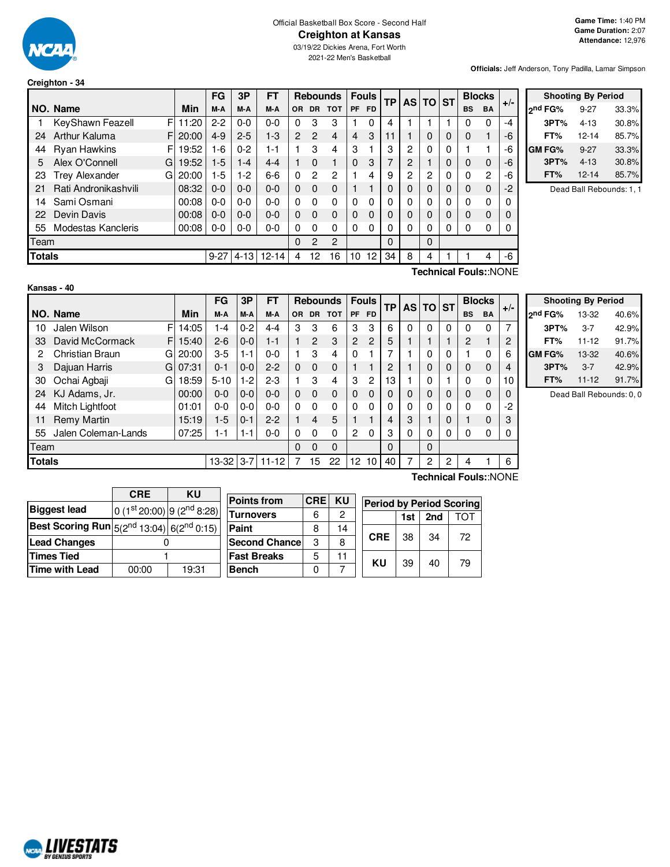

**Creighton - 34**

#### Official Basketball Box Score - Second Half **Creighton at Kansas**

03/19/22 Dickies Arena, Fort Worth 2021-22 Men's Basketball

**Officials:** Jeff Anderson, Tony Padilla, Lamar Simpson

|               |                            |       | FG       | 3P       | <b>FT</b> |                |                | <b>Rebounds</b> |           | <b>Fouls</b> | ТP       |                | AS TO ST |   | <b>Blocks</b> |    | $+/-$ |
|---------------|----------------------------|-------|----------|----------|-----------|----------------|----------------|-----------------|-----------|--------------|----------|----------------|----------|---|---------------|----|-------|
|               | NO. Name                   | Min   | M-A      | M-A      | M-A       | OR.            | <b>DR</b>      | <b>TOT</b>      | <b>PF</b> | <b>FD</b>    |          |                |          |   | <b>BS</b>     | BA |       |
|               | KeyShawn Feazell<br>F      | 1:20  | $2-2$    | $0 - 0$  | $0 - 0$   | 0              | 3              | 3               |           | 0            | 4        |                |          |   | 0             | 0  | -4    |
| 24            | Arthur Kaluma<br>F         | 20:00 | $4-9$    | $2 - 5$  | $1 - 3$   | $\overline{2}$ | $\overline{2}$ | 4               | 4         | 3            | 11       |                | 0        | 0 | 0             | 1  | -6    |
| 44            | <b>Ryan Hawkins</b><br>F   | 19:52 | $-6$     | $0 - 2$  | 1-1       |                | 3              | 4               | 3         |              | 3        | $\mathbf{2}$   | 0        | 0 |               |    | -6    |
| 5             | Alex O'Connell<br>G        | 19:52 | $1-5$    | $1 - 4$  | $4 - 4$   |                | $\Omega$       |                 | $\Omega$  | 3            | 7        | $\overline{c}$ |          | 0 | 0             | 0  | -6    |
| 23            | <b>Trey Alexander</b><br>G | 20:00 | -5       | $1-2$    | $6 - 6$   | 0              | 2              | 2               |           | 4            | 9        | 2              | 2        | 0 | 0             | 2  | -6    |
| 21            | Rati Andronikashvili       | 08:32 | $0 - 0$  | $0 - 0$  | $0 - 0$   | 0              | $\Omega$       | $\Omega$        |           |              | $\Omega$ | $\Omega$       | 0        | 0 | 0             | 0  | -2    |
| 14            | Sami Osmani                | 00:08 | 0-0      | $0 - 0$  | $0 - 0$   | 0              | $\Omega$       | $\Omega$        | $\Omega$  | $\Omega$     | 0        | 0              | $\Omega$ | 0 | 0             | 0  |       |
| 22            | Devin Davis                | 00:08 | $0 - 0$  | $0 - 0$  | $0 - 0$   | 0              | $\Omega$       | $\Omega$        | $\Omega$  | $\Omega$     | 0        | $\Omega$       | 0        | 0 | 0             | 0  |       |
| 55            | Modestas Kancleris         | 00:08 | $0-0$    | $0-0$    | $0 - 0$   | 0              | 0              | $\Omega$        | 0         | 0            | 0        | 0              | 0        | 0 | 0             | 0  |       |
| Team          |                            |       |          |          |           | 0              | 2              | 2               |           |              | 0        |                | 0        |   |               |    |       |
| <b>Totals</b> |                            |       | $9 - 27$ | $4 - 13$ | $12 - 14$ | 4              | 12             | 16              | 10        | 12           | 34       | 8              | 4        |   |               | 4  | -6    |
|               |                            |       |          |          |           |                |                |                 |           |              |          | -              |          |   | -             |    |       |

| <b>Shooting By Period</b> |          |       |  |  |  |  |  |  |
|---------------------------|----------|-------|--|--|--|--|--|--|
| ond FG%                   | $9 - 27$ | 33.3% |  |  |  |  |  |  |
| 3PT%                      | 4-13     | 30.8% |  |  |  |  |  |  |
| FT%                       | 12-14    | 85.7% |  |  |  |  |  |  |
| GM FG%                    | $9-27$   | 33.3% |  |  |  |  |  |  |
| 3PT%                      | $4 - 13$ | 30.8% |  |  |  |  |  |  |
| FT%                       | 12-14    | 85.7% |  |  |  |  |  |  |

Dead Ball Rebounds: 1, 1

|--|

**Technical Fouls:**:NONE

|                                                    |                        |    |       | FG       | 3P      | FT      |     |                | <b>Rebounds</b> |                | <b>Fouls</b> | <b>TP</b> | <b>ASITO</b> |   | <b>ST</b> | <b>Blocks</b>         |             |       |
|----------------------------------------------------|------------------------|----|-------|----------|---------|---------|-----|----------------|-----------------|----------------|--------------|-----------|--------------|---|-----------|-----------------------|-------------|-------|
|                                                    | NO. Name               |    | Min   | M-A      | M-A     | M-A     | OR. | DR.            | <b>TOT</b>      | <b>PF</b>      | <b>FD</b>    |           |              |   |           | <b>BS</b>             | <b>BA</b>   | $+/-$ |
| 10                                                 | Jalen Wilson           | FI | 14:05 | 1-4      | $0 - 2$ | 4-4     | 3   | 3              | 6               | 3              | 3            | 6         | 0            | 0 | $\Omega$  | <sup>0</sup>          | $\Omega$    |       |
| 33                                                 | David McCormack        | F. | 15:40 | $2 - 6$  | $0 - 0$ | $1 - 1$ |     | $\overline{c}$ | 3               | 2              | 2            | 5         |              |   |           | 2                     |             | ◠     |
|                                                    | <b>Christian Braun</b> | G  | 20:00 | $3-5$    | 1-1     | $0 - 0$ |     | 3              | 4               | 0              |              |           |              | 0 | 0         |                       | 0           | 6     |
| 3                                                  | Dajuan Harris          | G  | 07:31 | $0 - 1$  | $0 - 0$ | $2 - 2$ | 0   | $\Omega$       | $\mathbf 0$     |                |              | 2         |              | 0 | 0         | 0                     | $\mathbf 0$ |       |
| 30                                                 | Ochai Agbaji           | G  | 18:59 | $5 - 10$ | 1-2     | $2 - 3$ |     | 3              | 4               | 3              | 2            | 13        |              | 0 |           | O                     | 0           | 10    |
| 24                                                 | KJ Adams, Jr.          |    | 00:00 | $0-0$    | $0-0$   | $0 - 0$ | 0   | $\Omega$       | $\mathbf 0$     | $\mathbf 0$    | 0            |           | 0            | 0 | 0         | 0                     | 0           |       |
| 44                                                 | Mitch Lightfoot        |    | 01:01 | $0 - 0$  | $0 - 0$ | $0 - 0$ | 0   | $\Omega$       | $\Omega$        | $\Omega$       | 0            |           | 0            | 0 | 0         | U                     | 0           | -2    |
| 11                                                 | <b>Remy Martin</b>     |    | 15:19 | $1-5$    | $0 - 1$ | $2 - 2$ |     | 4              | 5               |                |              |           | 3            |   | 0         |                       | 0           | 3     |
| 55                                                 | Jalen Coleman-Lands    |    | 07:25 | 1-1      | 1-1     | $0-0$   | 0   | 0              | $\Omega$        | $\overline{c}$ | 0            | 3         | 0            | 0 | 0         |                       | 0           |       |
| Team                                               |                        |    |       |          |         |         |     | $\Omega$       | $\Omega$        |                |              | 0         |              | 0 |           |                       |             |       |
| <b>Totals</b><br>$13 - 32$<br>$11 - 12$<br>$3 - 7$ |                        |    |       |          |         |         |     | 15             | 22              | 12             | 10           | 40        | 7            | 2 | 2         | 4                     |             | 6     |
|                                                    |                        |    |       |          |         |         |     |                |                 |                |              |           |              |   |           | Technical Fouls::NONE |             |       |

|                     | <b>Shooting By Period</b> |       |
|---------------------|---------------------------|-------|
| 2 <sup>nd</sup> FG% | 13-32                     | 40.6% |
| 3PT%                | $3 - 7$                   | 42.9% |
| FT%                 | $11 - 12$                 | 91.7% |
| GM FG%              | 13-32                     | 40.6% |
| 3PT%                | $3 - 7$                   | 42.9% |
| FT%                 | $11 - 12$                 | 91.7% |

Dead Ball Rebounds: 0, 0

|                                                                   | <b>CRE</b>                             | KU    |                       |               |    |            |     |                 |                                 |
|-------------------------------------------------------------------|----------------------------------------|-------|-----------------------|---------------|----|------------|-----|-----------------|---------------------------------|
|                                                                   |                                        |       | <b>Points from</b>    | <b>CRE KU</b> |    |            |     |                 | <b>Period by Period Scoring</b> |
| <b>Biggest lead</b>                                               | $0(1st20:00)$ 9 (2 <sup>nd</sup> 8:28) |       |                       |               |    |            |     |                 |                                 |
|                                                                   |                                        |       | <b>Turnovers</b><br>6 |               | 2  |            | 1st | 2 <sub>nd</sub> | ГOТ                             |
| Best Scoring Run $5(2^{nd} 13:04)$ 6( $2^{nd} 0:15)$ <sup>1</sup> |                                        |       | Paint                 | 8             | 14 |            |     |                 |                                 |
| <b>Lead Changes</b>                                               |                                        |       | <b>Second Chance</b>  | C             | 8  | <b>CRE</b> | 38  | 34              | 72                              |
| <b>Times Tied</b>                                                 |                                        |       | <b>Fast Breaks</b>    | 5             |    | KU         | 39  | 40              | 79                              |
| Time with Lead                                                    | 00:00                                  | 19:31 | <b>Bench</b>          |               |    |            |     |                 |                                 |

NCAL LIVESTATS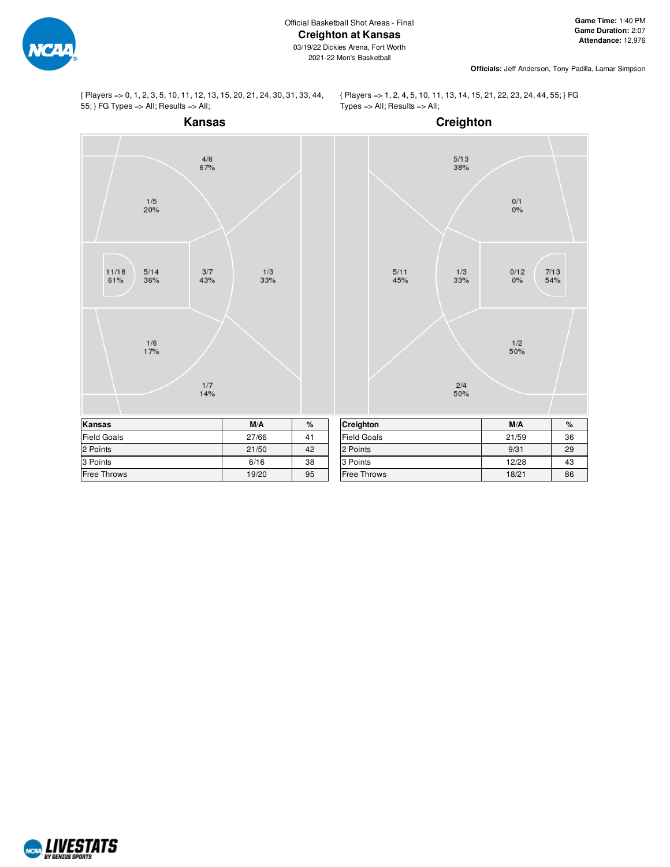

**Officials:** Jeff Anderson, Tony Padilla, Lamar Simpson

{ Players => 0, 1, 2, 3, 5, 10, 11, 12, 13, 15, 20, 21, 24, 30, 31, 33, 44, 55; } FG Types => All; Results => All;

{ Players => 1, 2, 4, 5, 10, 11, 13, 14, 15, 21, 22, 23, 24, 44, 55; } FG  $Types = All; Results = All;$ 



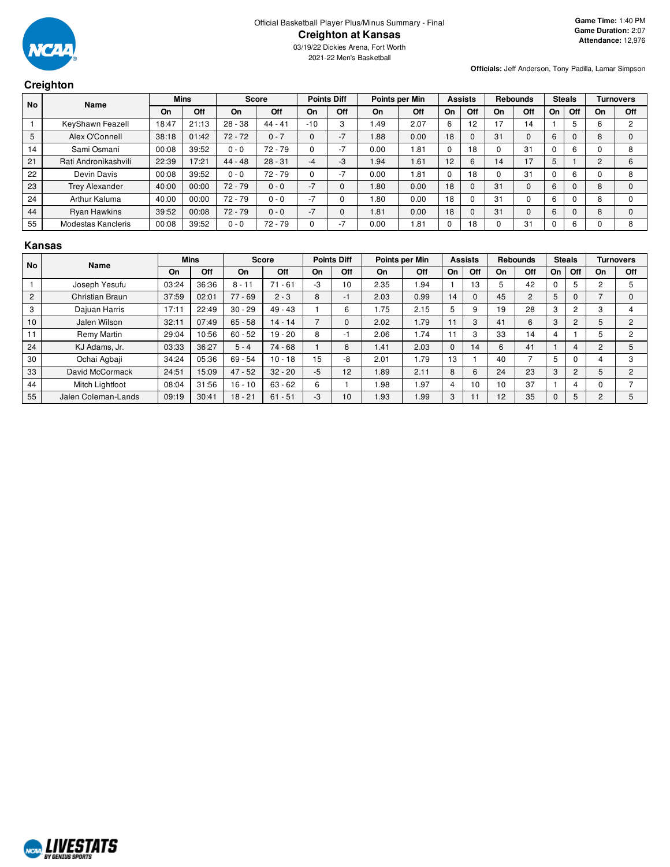

03/19/22 Dickies Arena, Fort Worth 2021-22 Men's Basketball

# **Creighton**

**Officials:** Jeff Anderson, Tony Padilla, Lamar Simpson

|           | $\sim$                |       |             |           |              |          |                    |      |                |          |                |    |                 |    |               |          |                  |
|-----------|-----------------------|-------|-------------|-----------|--------------|----------|--------------------|------|----------------|----------|----------------|----|-----------------|----|---------------|----------|------------------|
| <b>No</b> | Name                  |       | <b>Mins</b> |           | <b>Score</b> |          | <b>Points Diff</b> |      | Points per Min |          | <b>Assists</b> |    | <b>Rebounds</b> |    | <b>Steals</b> |          | <b>Turnovers</b> |
|           |                       | On    | Off         | On        | Off          | On       | Off                | On   | Off            | On       | Off            | On | Off             | On | Off           | On       | Off              |
|           | KeyShawn Feazell      | 18:47 | 21:13       | $28 - 38$ | $44 - 41$    | $-10$    | 3                  | 1.49 | 2.07           | 6        | 12             | 17 | 14              |    | 5             | 6        |                  |
| 5         | Alex O'Connell        | 38:18 | 01:42       | $72 - 72$ | $0 - 7$      | $\Omega$ | $-7$               | 1.88 | 0.00           | 18       |                | 31 | 0               | 6  | $\Omega$      | 8        |                  |
| 14        | Sami Osmani           | 00:08 | 39:52       | $0 - 0$   | $72 - 79$    |          | $-7$               | 0.00 | . 81           | $\Omega$ | 8              | υ  | 31              |    | 6             | υ        |                  |
| 21        | Rati Andronikashvili  | 22:39 | 17:21       | $44 - 48$ | $28 - 31$    | -4       | $-3$               | 1.94 | 1.61           | 12       | 6              | 14 | 17              |    |               | 2        |                  |
| 22        | Devin Davis           | 00:08 | 39:52       | $0 - 0$   | $72 - 79$    |          | $-7$               | 0.00 | i 81           | $\Omega$ | 18             | O  | 31              |    | 6             | $\Omega$ | 8                |
| 23        | <b>Trey Alexander</b> | 40:00 | 00:00       | $72 - 79$ | $0 - 0$      | $-7$     | $\mathbf{0}$       | 1.80 | 0.00           | 18       |                | 31 | 0               | 6  | 0             | 8        |                  |
| 24        | Arthur Kaluma         | 40:00 | 00:00       | $72 - 79$ | $0 - 0$      | $-7$     | 0                  | 1.80 | 0.00           | 18       |                | 31 | $\Omega$        | 6  | $\Omega$      | 8        |                  |
| 44        | <b>Ryan Hawkins</b>   | 39:52 | 00:08       | $72 - 79$ | $0 - 0$      | $-7$     | $\mathbf{0}$       | 1.81 | 0.00           | 18       |                | 31 | $\Omega$        | 6  | $\Omega$      | 8        |                  |
| 55        | Modestas Kancleris    | 00:08 | 39:52       | $0 - 0$   | $72 - 79$    |          | $-7$               | 0.00 | 1.81           | 0        | 8              |    | 31              |    | 6             | C        | 8                |

#### **Kansas**

| l No           | Name                |       | <b>Mins</b> |           | <b>Score</b> |      | <b>Points Diff</b> |      | Points per Min |             | <b>Assists</b> |    | <b>Rebounds</b> |    | <b>Steals</b>  |                | Turnovers      |
|----------------|---------------------|-------|-------------|-----------|--------------|------|--------------------|------|----------------|-------------|----------------|----|-----------------|----|----------------|----------------|----------------|
|                |                     | On    | Off         | On        | Off          | On   | Off                | On   | Off            | On          | Off            | On | Off             | On | Off            | On             | Off            |
|                | Joseph Yesufu       | 03:24 | 36:36       | $8 - 11$  | $71 - 61$    | -3   | 10                 | 2.35 | 1.94           |             | 13             |    | 42              |    | 5              | $\overline{2}$ |                |
| $\overline{2}$ | Christian Braun     | 37:59 | 02:01       | $77 - 69$ | $2 - 3$      | 8    | - 1                | 2.03 | 0.99           | 14          | 0              | 45 | $\overline{2}$  | 5  | $\Omega$       |                |                |
| 3              | Dajuan Harris       | 17:11 | 22:49       | $30 - 29$ | $49 - 43$    |      | 6                  | 1.75 | 2.15           | 5           | 9              | 19 | 28              | 3  | $\overline{2}$ | 3              |                |
| 10             | Jalen Wilson        | 32:11 | 07:49       | $65 - 58$ | $14 - 14$    |      |                    | 2.02 | 1.79           | 11          | 3              | 41 | 6               | 3  | $\overline{2}$ | 5              | 2              |
| 11             | Remy Martin         | 29:04 | 10:56       | $60 - 52$ | $19 - 20$    | 8    | нī                 | 2.06 | 1.74           |             | 3              | 33 | 14              |    |                | 5              | 2              |
| 24             | KJ Adams, Jr.       | 03:33 | 36:27       | $5 - 4$   | $74 - 68$    |      | 6                  | 1.41 | 2.03           | $\mathbf 0$ | 14             | 6  | 41              |    | 4              | $\mathcal{P}$  | 5              |
| 30             | Ochai Agbaji        | 34:24 | 05:36       | $69 - 54$ | $10 - 18$    | 15   | -8                 | 2.01 | i.79           | 13          |                | 40 |                 |    | $\Omega$       |                | 3              |
| 33             | David McCormack     | 24:51 | 15:09       | $47 - 52$ | $32 - 20$    | $-5$ | 12                 | 1.89 | 2.11           | 8           | 6              | 24 | 23              | 3  | $\overline{2}$ | b              | $\overline{2}$ |
| 44             | Mitch Lightfoot     | 08:04 | 31:56       | $16 - 10$ | $63 - 62$    | 6    |                    | 1.98 | .97            | 4           | 10             | 10 | 37              |    | 4              | O              |                |
| 55             | Jalen Coleman-Lands | 09:19 | 30:41       | $18 - 21$ | $61 - 51$    | -3   | 10                 | 1.93 | 1.99           | 3           |                | 12 | 35              | U  | 5              |                |                |

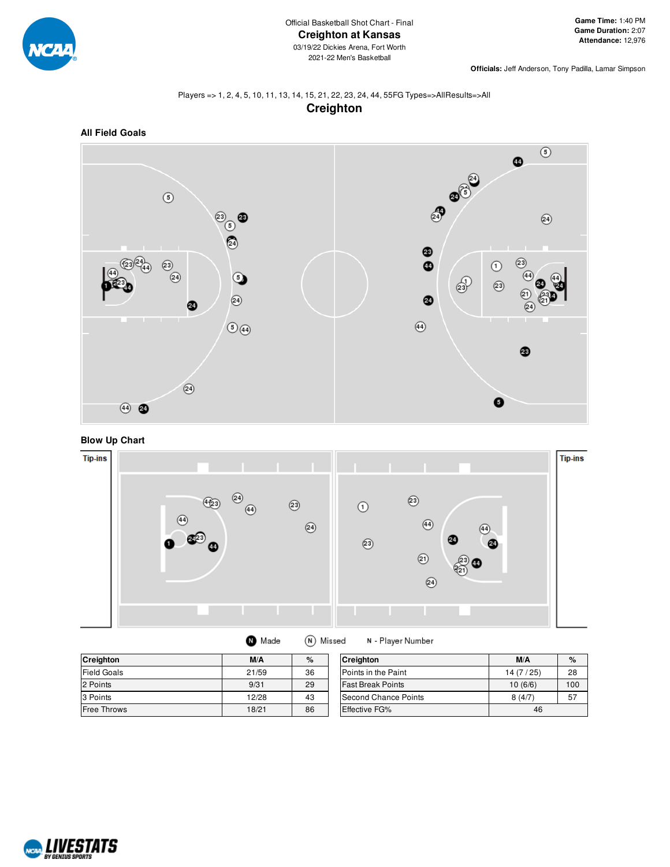

**Officials:** Jeff Anderson, Tony Padilla, Lamar Simpson

# Players => 1, 2, 4, 5, 10, 11, 13, 14, 15, 21, 22, 23, 24, 44, 55FG Types=>AllResults=>All **Creighton**



**Blow Up Chart**



| <b>Creighton</b>   | M/A   | %  | <b>Creighton</b>           | M/A      | %   |
|--------------------|-------|----|----------------------------|----------|-----|
| <b>Field Goals</b> | 21/59 | 36 | <b>Points in the Paint</b> | 14(7/25) | 28  |
| 2 Points           | 9/31  | 29 | <b>Fast Break Points</b>   | 10(6/6)  | 100 |
| 3 Points           | 12/28 | 43 | Second Chance Points       | 8(4/7)   | 57  |
| <b>Free Throws</b> | 18/21 | 86 | <b>Effective FG%</b>       | 46       |     |

N - Player Number

**O** Made

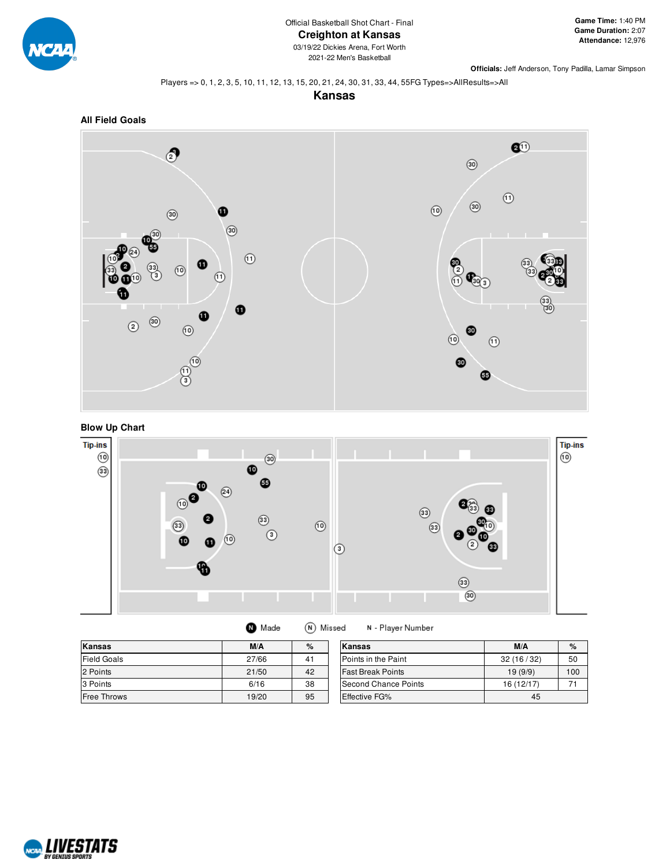

**Officials:** Jeff Anderson, Tony Padilla, Lamar Simpson

#### Players => 0, 1, 2, 3, 5, 10, 11, 12, 13, 15, 20, 21, 24, 30, 31, 33, 44, 55FG Types=>AllResults=>All

**Kansas**







| <b>O</b> Made | (N) Missed | N - Player Number |
|---------------|------------|-------------------|
|---------------|------------|-------------------|

| Kansas             | M/A   | %  | Kansas                      | M/A        | $\%$ |
|--------------------|-------|----|-----------------------------|------------|------|
| <b>Field Goals</b> | 27/66 | 41 | Points in the Paint         | 32(16/32)  | 50   |
| 2 Points           | 21/50 | 42 | <b>Fast Break Points</b>    | 19(9/9)    | 100  |
| 3 Points           | 6/16  | 38 | <b>Second Chance Points</b> | 16 (12/17) |      |
| <b>Free Throws</b> | 19/20 | 95 | <b>Effective FG%</b>        | 45         |      |

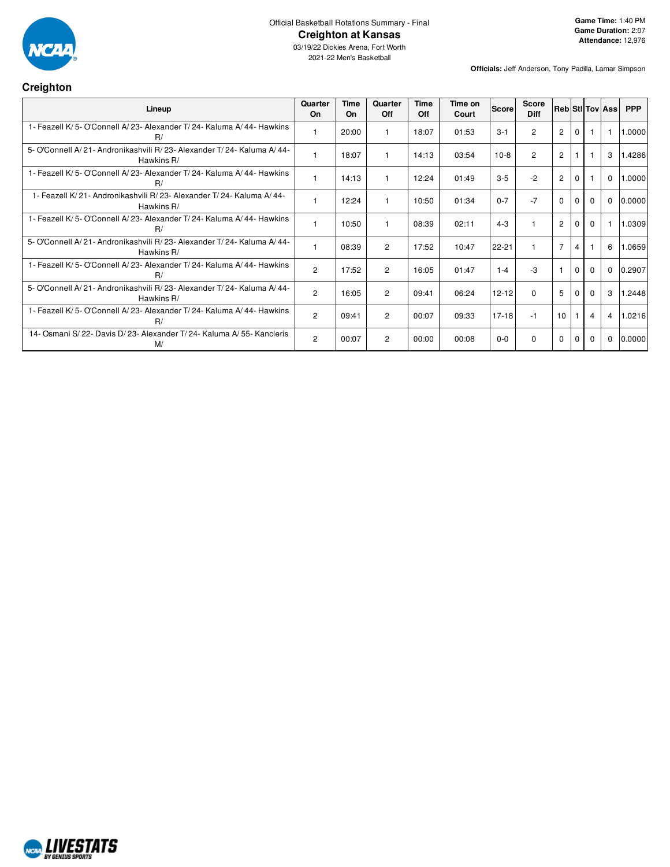

#### Official Basketball Rotations Summary - Final **Creighton at Kansas**

#### **Creighton**

**Officials:** Jeff Anderson, Tony Padilla, Lamar Simpson

| Lineup                                                                              | Quarter<br>On  | Time<br>On | Quarter<br>Off | Time<br>Off | Time on<br>Court | Score     | <b>Score</b><br><b>Diff</b> | <b>Reb Stil Tov Ass</b> |                |          |                | <b>PPP</b> |
|-------------------------------------------------------------------------------------|----------------|------------|----------------|-------------|------------------|-----------|-----------------------------|-------------------------|----------------|----------|----------------|------------|
| 1- Feazell K/5- O'Connell A/23- Alexander T/24- Kaluma A/44- Hawkins<br>R/          |                | 20:00      |                | 18:07       | 01:53            | $3 - 1$   | 2                           | $\overline{2}$          | $\Omega$       |          |                | 1.0000     |
| 5- O'Connell A/21- Andronikashvili R/23- Alexander T/24- Kaluma A/44-<br>Hawkins R/ |                | 18:07      |                | 14:13       | 03:54            | $10-8$    | $\overline{2}$              | $\overline{2}$          |                |          | 3              | 1.4286     |
| 1- Feazell K/5- O'Connell A/23- Alexander T/24- Kaluma A/44- Hawkins<br>R/          |                | 14:13      |                | 12:24       | 01:49            | $3 - 5$   | $-2$                        | $\overline{2}$          | $\mathbf 0$    |          | $\mathbf 0$    | 1.0000     |
| 1- Feazell K/21- Andronikashvili R/23- Alexander T/24- Kaluma A/44-<br>Hawkins R/   |                | 12:24      |                | 10:50       | 01:34            | $0 - 7$   | $-7$                        | $\mathbf 0$             | $\Omega$       | $\Omega$ | $\mathbf 0$    | 0.0000     |
| 1- Feazell K/5- O'Connell A/23- Alexander T/24- Kaluma A/44- Hawkins<br>R/          |                | 10:50      |                | 08:39       | 02:11            | $4 - 3$   |                             | $\overline{2}$          | $\Omega$       | $\Omega$ |                | 1.0309     |
| 5- O'Connell A/21- Andronikashvili R/23- Alexander T/24- Kaluma A/44-<br>Hawkins R/ |                | 08:39      | $\overline{2}$ | 17:52       | 10:47            | 22-21     |                             | $\overline{7}$          | $\overline{4}$ |          | 6              | 1.0659     |
| 1- Feazell K/5-O'Connell A/23- Alexander T/24- Kaluma A/44- Hawkins<br>R/           | $\overline{2}$ | 17:52      | $\overline{2}$ | 16:05       | 01:47            | $1 - 4$   | -3                          |                         | $\Omega$       | $\Omega$ | $\mathbf 0$    | 0.2907     |
| 5- O'Connell A/21- Andronikashvili R/23- Alexander T/24- Kaluma A/44-<br>Hawkins R/ | 2              | 16:05      | $\overline{2}$ | 09:41       | 06:24            | $12 - 12$ | $\Omega$                    | 5                       | $\mathbf 0$    | $\Omega$ | 3              | .2448      |
| 1- Feazell K/5- O'Connell A/23- Alexander T/24- Kaluma A/44- Hawkins<br>R/          | 2              | 09:41      | 2              | 00:07       | 09:33            | $17 - 18$ | $-1$                        | 10                      |                | 4        | $\overline{4}$ | 1.0216     |
| 14- Osmani S/22- Davis D/23- Alexander T/24- Kaluma A/55- Kancleris<br>M/           | 2              | 00:07      | $\overline{2}$ | 00:00       | 00:08            | $0 - 0$   | 0                           | 0                       | $\Omega$       | 0        | $\mathbf 0$    | 0.0000     |

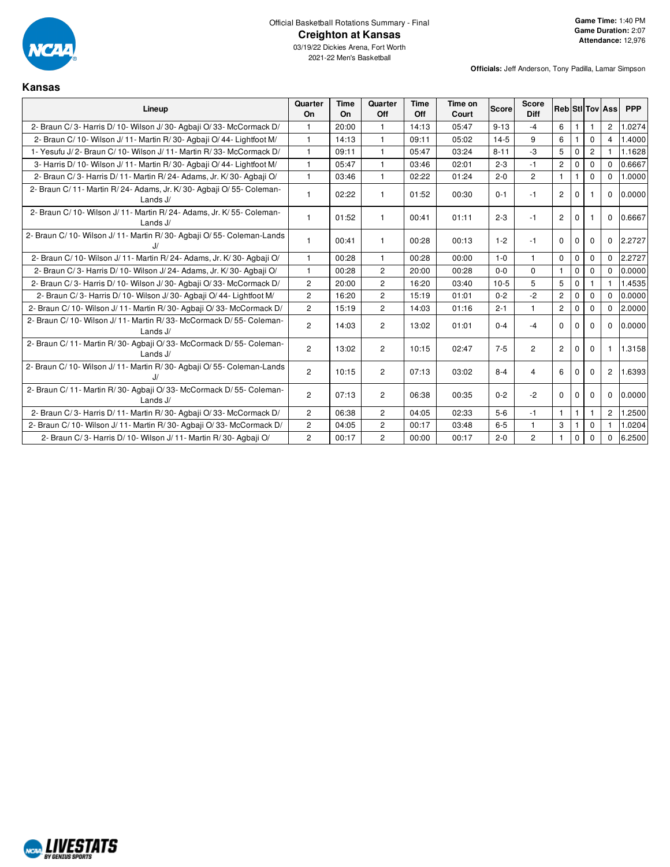

2021-22 Men's Basketball

**Kansas**

| Lineup                                                                               | Quarter<br><b>On</b>  | Time<br>On. | Quarter<br>Off | Time<br>Off | Time on<br>Court | <b>Score</b> | <b>Score</b><br><b>Diff</b> |                |              |                | <b>Reb</b> StI Tov Ass | <b>PPP</b> |
|--------------------------------------------------------------------------------------|-----------------------|-------------|----------------|-------------|------------------|--------------|-----------------------------|----------------|--------------|----------------|------------------------|------------|
| 2- Braun C/3- Harris D/10- Wilson J/30- Agbaii O/33- McCormack D/                    |                       | 20:00       | 1              | 14:13       | 05:47            | $9 - 13$     | $-4$                        | 6              |              |                | 2                      | 1.0274     |
| 2- Braun C/ 10- Wilson J/ 11- Martin R/ 30- Agbaji O/ 44- Lightfoot M/               | $\mathbf{1}$          | 14:13       | $\mathbf{1}$   | 09:11       | 05:02            | $14-5$       | 9                           | 6              |              | $\Omega$       | $\overline{4}$         | 1.4000     |
| 1- Yesufu J/2- Braun C/10- Wilson J/11- Martin R/33- McCormack D/                    | $\mathbf{1}$          | 09:11       | 1              | 05:47       | 03:24            | $8 - 11$     | $-3$                        | 5              | $\mathbf{0}$ | $\overline{2}$ |                        | 1.1628     |
| 3- Harris D/ 10- Wilson J/ 11- Martin R/ 30- Agbaii O/ 44- Lightfoot M/              | 1                     | 05:47       | 1              | 03:46       | 02:01            | $2 - 3$      | $-1$                        | $\mathbf{2}$   | $\Omega$     | $\Omega$       | $\Omega$               | 0.6667     |
| 2- Braun C/3- Harris D/11- Martin R/24- Adams, Jr. K/30- Agbaji O/                   | $\mathbf{1}$          | 03:46       | $\mathbf{1}$   | 02:22       | 01:24            | $2 - 0$      | $\overline{2}$              | $\mathbf{1}$   | $\mathbf{1}$ | $\Omega$       | $\Omega$               | 1.0000     |
| 2- Braun C/11- Martin R/24- Adams, Jr. K/30- Agbaji O/55- Coleman-<br>Lands $J/$     | 1                     | 02:22       | 1              | 01:52       | 00:30            | $0 - 1$      | $-1$                        | $\overline{2}$ | 0            |                | $\mathbf 0$            | 0.0000     |
| 2- Braun C/ 10- Wilson J/ 11- Martin R/ 24- Adams, Jr. K/ 55- Coleman-<br>Lands $J/$ | $\mathbf{1}$          | 01:52       | $\mathbf{1}$   | 00:41       | 01:11            | $2 - 3$      | $-1$                        | $\overline{2}$ | $\Omega$     |                | $\Omega$               | 0.6667     |
| 2- Braun C/ 10- Wilson J/ 11- Martin R/ 30- Agbaji O/ 55- Coleman-Lands<br>J/        | $\mathbf{1}$          | 00:41       | 1              | 00:28       | 00:13            | $1 - 2$      | $-1$                        | $\mathbf 0$    | $\mathbf 0$  | $\Omega$       | $\mathbf 0$            | 2.2727     |
| 2- Braun C/10- Wilson J/11- Martin R/24- Adams, Jr. K/30- Agbaji O/                  | 1                     | 00:28       | $\mathbf{1}$   | 00:28       | 00:00            | $1 - 0$      | 1.                          | $\mathbf 0$    | $\mathbf 0$  | $\Omega$       | $\Omega$               | 2.2727     |
| 2- Braun C/3- Harris D/10- Wilson J/24- Adams, Jr. K/30- Agbaji O/                   | $\mathbf{1}$          | 00:28       | $\overline{2}$ | 20:00       | 00:28            | $0 - 0$      | $\Omega$                    | $\mathbf{1}$   | $\Omega$     | $\Omega$       | $\Omega$               | 0.0000     |
| 2- Braun C/3- Harris D/10- Wilson J/30- Agbaii O/33- McCormack D/                    | $\overline{2}$        | 20:00       | $\overline{2}$ | 16:20       | 03:40            | $10-5$       | 5                           | 5              | $\mathbf{0}$ |                |                        | 1.4535     |
| 2- Braun C/3- Harris D/10- Wilson J/30- Agbaji O/44- Lightfoot M/                    | $\mathbf{2}^{\prime}$ | 16:20       | $\overline{2}$ | 15:19       | 01:01            | $0 - 2$      | $-2$                        | $\mathbf{2}$   | $\Omega$     | $\Omega$       | $\Omega$               | 0.0000     |
| 2- Braun C/ 10- Wilson J/ 11- Martin R/ 30- Agbaji O/ 33- McCormack D/               | $\overline{2}$        | 15:19       | $\overline{2}$ | 14:03       | 01:16            | $2 - 1$      | $\mathbf{1}$                | $\overline{2}$ | $\mathbf 0$  | $\Omega$       | $\Omega$               | 2.0000     |
| 2- Braun C/10- Wilson J/11- Martin R/33- McCormack D/55- Coleman-<br>Lands $J/$      | $\overline{2}$        | 14:03       | $\overline{c}$ | 13:02       | 01:01            | $0 - 4$      | $-4$                        | $\mathbf 0$    | 0            | 0              | $\mathbf 0$            | 0.0000     |
| 2- Braun C/ 11- Martin R/ 30- Agbaji O/ 33- McCormack D/ 55- Coleman-<br>Lands $J/$  | $\overline{2}$        | 13:02       | $\overline{2}$ | 10:15       | 02:47            | $7 - 5$      | $\overline{2}$              | $\overline{2}$ | $\Omega$     | $\Omega$       | -1                     | 1.3158     |
| 2- Braun C/10- Wilson J/11- Martin R/30- Agbaji O/55- Coleman-Lands                  | $\overline{2}$        | 10:15       | $\overline{c}$ | 07:13       | 03:02            | $8 - 4$      | $\overline{4}$              | 6              | $\mathbf 0$  | $\mathbf 0$    | $\overline{c}$         | 1.6393     |
| 2- Braun C/ 11- Martin R/ 30- Agbaji O/ 33- McCormack D/ 55- Coleman-<br>Lands J/    | $\mathbf{2}^{\prime}$ | 07:13       | $\overline{c}$ | 06:38       | 00:35            | $0 - 2$      | $-2$                        | $\Omega$       | $\Omega$     | $\Omega$       | $\Omega$               | 0.0000     |
| 2- Braun C/3- Harris D/11- Martin R/30- Agbaii O/33- McCormack D/                    | $\overline{c}$        | 06:38       | $\overline{2}$ | 04:05       | 02:33            | $5-6$        | $-1$                        | $\mathbf{1}$   | 1            |                | $\overline{c}$         | 1.2500     |
| 2- Braun C/ 10- Wilson J/ 11- Martin R/ 30- Agbaji O/ 33- McCormack D/               | $\overline{2}$        | 04:05       | $\overline{2}$ | 00:17       | 03:48            | $6-5$        | $\mathbf{1}$                | 3              |              | $\mathbf 0$    |                        | 1.0204     |
| 2- Braun C/3- Harris D/10- Wilson J/11- Martin R/30- Agbaji O/                       | $\overline{2}$        | 00:17       | $\overline{2}$ | 00:00       | 00:17            | $2 - 0$      | $\overline{c}$              | $\mathbf{1}$   | $\mathbf 0$  | $\Omega$       | $\Omega$               | 6.2500     |

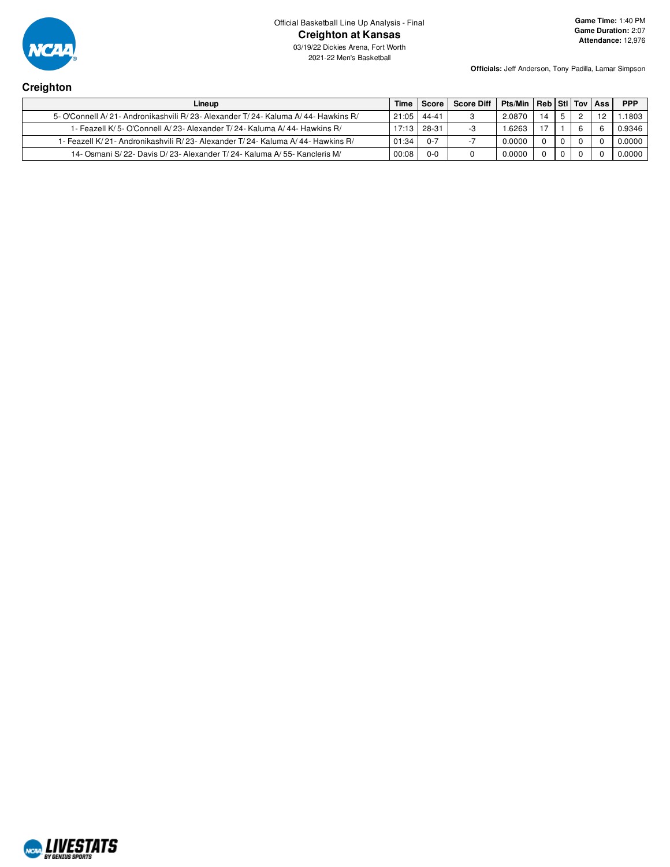

Official Basketball Line Up Analysis - Final **Creighton at Kansas**

03/19/22 Dickies Arena, Fort Worth 2021-22 Men's Basketball

**Officials:** Jeff Anderson, Tony Padilla, Lamar Simpson

# **Creighton**

| Lineup                                                                               | Time          | Score   | <b>Score Diff</b> | Pts/Min   Reb   Stl   Tov   Ass |     |  | <b>PPP</b> |
|--------------------------------------------------------------------------------------|---------------|---------|-------------------|---------------------------------|-----|--|------------|
| 5- O'Connell A/ 21- Andronikashvili R/ 23- Alexander T/ 24- Kaluma A/ 44- Hawkins R/ | $21:05$ 44-41 |         |                   | 2.0870                          | 14  |  | .1803      |
| 1- Feazell K/ 5- O'Connell A/ 23- Alexander T/ 24- Kaluma A/ 44- Hawkins R/          | 17:13 28-31   |         |                   | .6263                           | - 7 |  | 0.9346     |
| 1- Feazell K/ 21- Andronikashvili R/ 23- Alexander T/ 24- Kaluma A/ 44- Hawkins R/   | 01:34         | $0 - 7$ |                   | 0.0000                          |     |  | 0.0000     |
| 14- Osmani S/22- Davis D/23- Alexander T/24- Kaluma A/55- Kancleris M/               | 00:08         | $0 - 0$ |                   | 0.0000                          |     |  | 0.0000     |